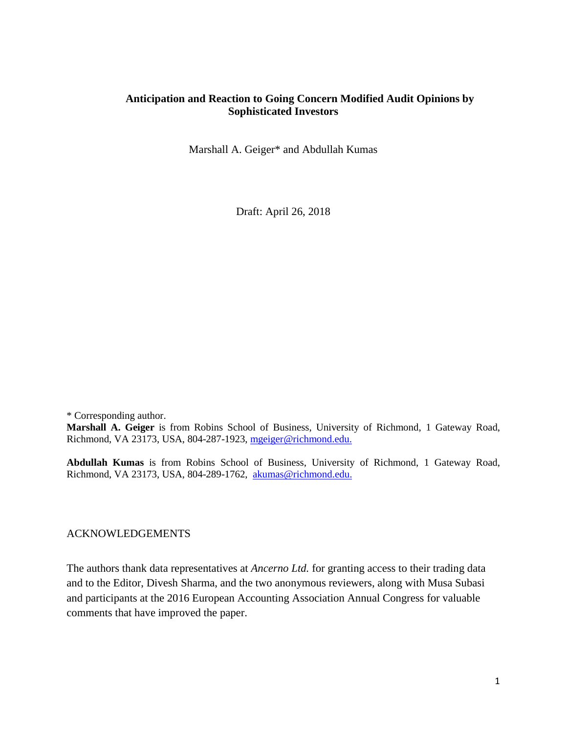# **Anticipation and Reaction to Going Concern Modified Audit Opinions by Sophisticated Investors**

Marshall A. Geiger\* and Abdullah Kumas

Draft: April 26, 2018

\* Corresponding author. **Marshall A. Geiger** is from Robins School of Business, University of Richmond, 1 Gateway Road, Richmond, VA 23173, USA, 804-287-1923, [mgeiger@richmond.edu.](mailto:mgeiger@richmond.edu)

**Abdullah Kumas** is from Robins School of Business, University of Richmond, 1 Gateway Road, Richmond, VA 23173, USA, 804-289-1762, [akumas@richmond.edu.](mailto:akumas@richmond.edu)

#### ACKNOWLEDGEMENTS

The authors thank data representatives at *Ancerno Ltd.* for granting access to their trading data and to the Editor, Divesh Sharma, and the two anonymous reviewers, along with Musa Subasi and participants at the 2016 European Accounting Association Annual Congress for valuable comments that have improved the paper.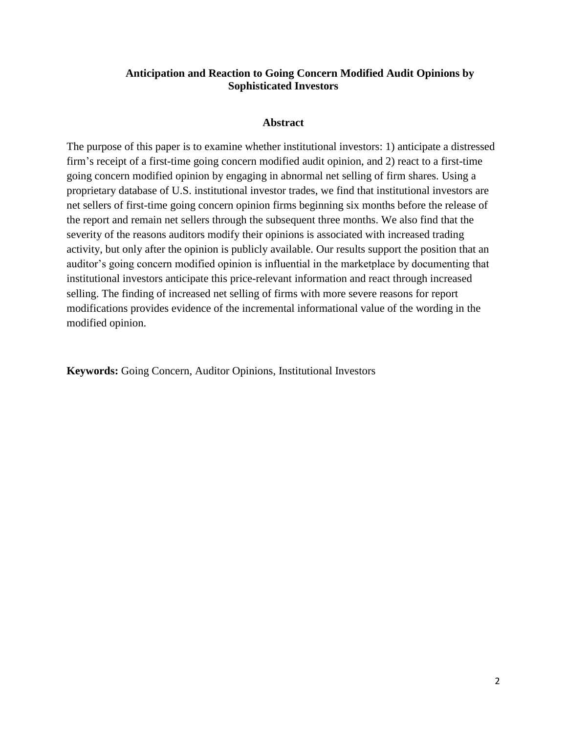# **Anticipation and Reaction to Going Concern Modified Audit Opinions by Sophisticated Investors**

# **Abstract**

The purpose of this paper is to examine whether institutional investors: 1) anticipate a distressed firm's receipt of a first-time going concern modified audit opinion, and 2) react to a first-time going concern modified opinion by engaging in abnormal net selling of firm shares. Using a proprietary database of U.S. institutional investor trades, we find that institutional investors are net sellers of first-time going concern opinion firms beginning six months before the release of the report and remain net sellers through the subsequent three months. We also find that the severity of the reasons auditors modify their opinions is associated with increased trading activity, but only after the opinion is publicly available. Our results support the position that an auditor's going concern modified opinion is influential in the marketplace by documenting that institutional investors anticipate this price-relevant information and react through increased selling. The finding of increased net selling of firms with more severe reasons for report modifications provides evidence of the incremental informational value of the wording in the modified opinion.

**Keywords:** Going Concern, Auditor Opinions, Institutional Investors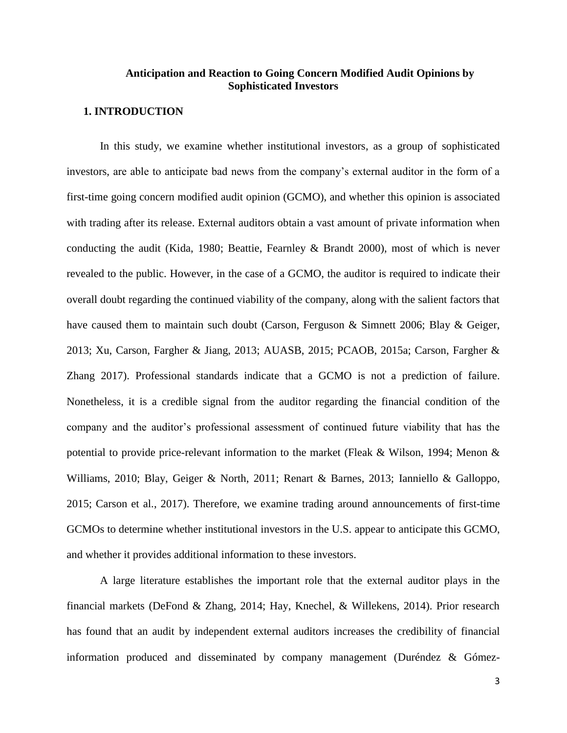# **Anticipation and Reaction to Going Concern Modified Audit Opinions by Sophisticated Investors**

#### **1. INTRODUCTION**

In this study, we examine whether institutional investors, as a group of sophisticated investors, are able to anticipate bad news from the company's external auditor in the form of a first-time going concern modified audit opinion (GCMO), and whether this opinion is associated with trading after its release. External auditors obtain a vast amount of private information when conducting the audit (Kida, 1980; Beattie, Fearnley & Brandt 2000), most of which is never revealed to the public. However, in the case of a GCMO, the auditor is required to indicate their overall doubt regarding the continued viability of the company, along with the salient factors that have caused them to maintain such doubt (Carson, Ferguson & Simnett 2006; Blay & Geiger, 2013; Xu, Carson, Fargher & Jiang, 2013; AUASB, 2015; PCAOB, 2015a; Carson, Fargher & Zhang 2017). Professional standards indicate that a GCMO is not a prediction of failure. Nonetheless, it is a credible signal from the auditor regarding the financial condition of the company and the auditor's professional assessment of continued future viability that has the potential to provide price-relevant information to the market (Fleak & Wilson, 1994; Menon & Williams, 2010; Blay, Geiger & North, 2011; Renart & Barnes, 2013; Ianniello & Galloppo, 2015; Carson et al., 2017). Therefore, we examine trading around announcements of first-time GCMOs to determine whether institutional investors in the U.S. appear to anticipate this GCMO, and whether it provides additional information to these investors.

A large literature establishes the important role that the external auditor plays in the financial markets (DeFond & Zhang, 2014; Hay, Knechel, & Willekens, 2014). Prior research has found that an audit by independent external auditors increases the credibility of financial information produced and disseminated by company management (Duréndez & Gómez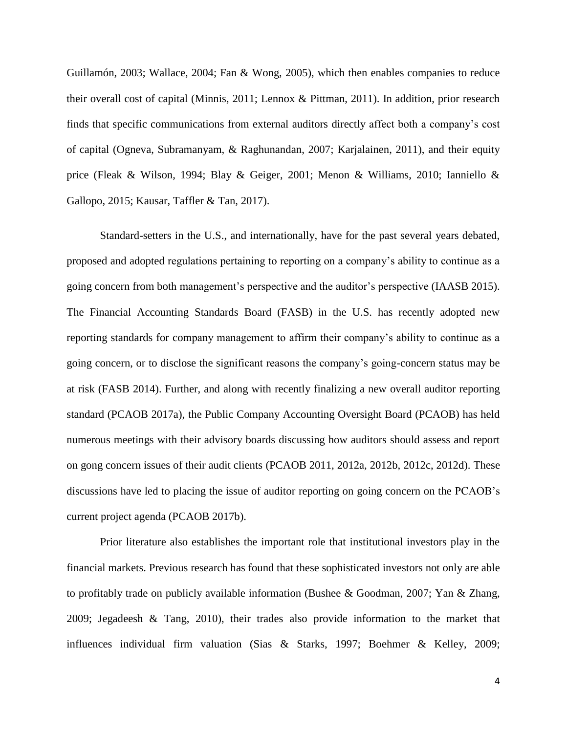Guillamón, 2003; Wallace, 2004; Fan & Wong, 2005), which then enables companies to reduce their overall cost of capital (Minnis, 2011; Lennox & Pittman, 2011). In addition, prior research finds that specific communications from external auditors directly affect both a company's cost of capital (Ogneva, Subramanyam, & Raghunandan, 2007; Karjalainen, 2011), and their equity price (Fleak & Wilson, 1994; Blay & Geiger, 2001; Menon & Williams, 2010; Ianniello & Gallopo, 2015; Kausar, Taffler & Tan, 2017).

Standard-setters in the U.S., and internationally, have for the past several years debated, proposed and adopted regulations pertaining to reporting on a company's ability to continue as a going concern from both management's perspective and the auditor's perspective (IAASB 2015). The Financial Accounting Standards Board (FASB) in the U.S. has recently adopted new reporting standards for company management to affirm their company's ability to continue as a going concern, or to disclose the significant reasons the company's going-concern status may be at risk (FASB 2014). Further, and along with recently finalizing a new overall auditor reporting standard (PCAOB 2017a), the Public Company Accounting Oversight Board (PCAOB) has held numerous meetings with their advisory boards discussing how auditors should assess and report on gong concern issues of their audit clients (PCAOB 2011, 2012a, 2012b, 2012c, 2012d). These discussions have led to placing the issue of auditor reporting on going concern on the PCAOB's current project agenda (PCAOB 2017b).

Prior literature also establishes the important role that institutional investors play in the financial markets. Previous research has found that these sophisticated investors not only are able to profitably trade on publicly available information (Bushee & Goodman, 2007; Yan & Zhang, 2009; Jegadeesh & Tang, 2010), their trades also provide information to the market that influences individual firm valuation (Sias & Starks, 1997; Boehmer & Kelley, 2009;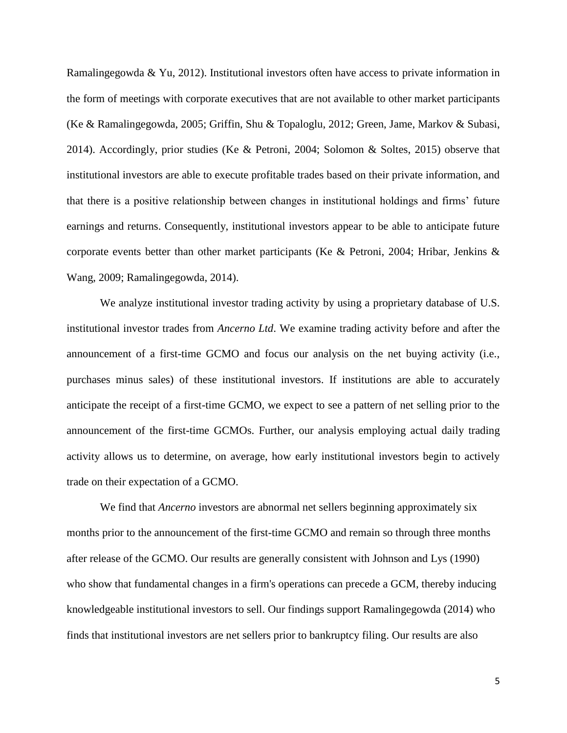Ramalingegowda & Yu, 2012). Institutional investors often have access to private information in the form of meetings with corporate executives that are not available to other market participants (Ke & Ramalingegowda, 2005; Griffin, Shu & Topaloglu, 2012; Green, Jame, Markov & Subasi, 2014). Accordingly, prior studies (Ke & Petroni, 2004; Solomon & Soltes, 2015) observe that institutional investors are able to execute profitable trades based on their private information, and that there is a positive relationship between changes in institutional holdings and firms' future earnings and returns. Consequently, institutional investors appear to be able to anticipate future corporate events better than other market participants (Ke & Petroni, 2004; Hribar, Jenkins & Wang, 2009; Ramalingegowda, 2014).

We analyze institutional investor trading activity by using a proprietary database of U.S. institutional investor trades from *Ancerno Ltd*. We examine trading activity before and after the announcement of a first-time GCMO and focus our analysis on the net buying activity (i.e., purchases minus sales) of these institutional investors. If institutions are able to accurately anticipate the receipt of a first-time GCMO, we expect to see a pattern of net selling prior to the announcement of the first-time GCMOs. Further, our analysis employing actual daily trading activity allows us to determine, on average, how early institutional investors begin to actively trade on their expectation of a GCMO.

We find that *Ancerno* investors are abnormal net sellers beginning approximately six months prior to the announcement of the first-time GCMO and remain so through three months after release of the GCMO. Our results are generally consistent with Johnson and Lys (1990) who show that fundamental changes in a firm's operations can precede a GCM, thereby inducing knowledgeable institutional investors to sell. Our findings support Ramalingegowda (2014) who finds that institutional investors are net sellers prior to bankruptcy filing. Our results are also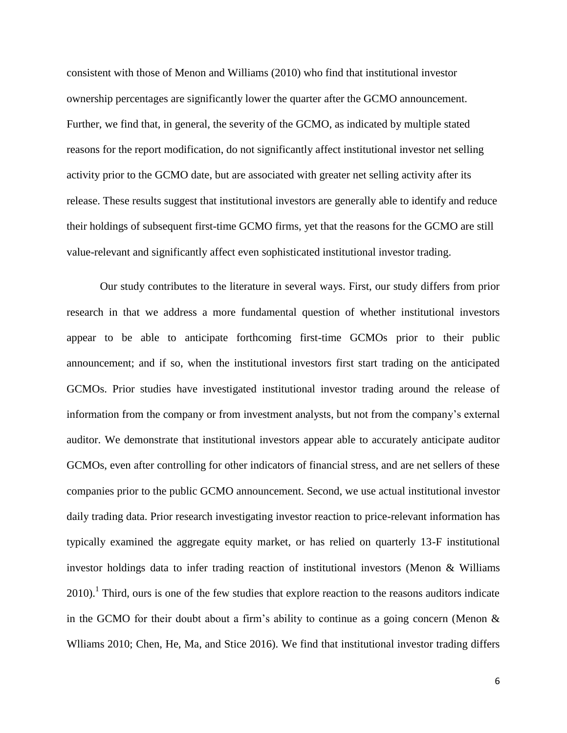consistent with those of Menon and Williams (2010) who find that institutional investor ownership percentages are significantly lower the quarter after the GCMO announcement. Further, we find that, in general, the severity of the GCMO, as indicated by multiple stated reasons for the report modification, do not significantly affect institutional investor net selling activity prior to the GCMO date, but are associated with greater net selling activity after its release. These results suggest that institutional investors are generally able to identify and reduce their holdings of subsequent first-time GCMO firms, yet that the reasons for the GCMO are still value-relevant and significantly affect even sophisticated institutional investor trading.

Our study contributes to the literature in several ways. First, our study differs from prior research in that we address a more fundamental question of whether institutional investors appear to be able to anticipate forthcoming first-time GCMOs prior to their public announcement; and if so, when the institutional investors first start trading on the anticipated GCMOs. Prior studies have investigated institutional investor trading around the release of information from the company or from investment analysts, but not from the company's external auditor. We demonstrate that institutional investors appear able to accurately anticipate auditor GCMOs, even after controlling for other indicators of financial stress, and are net sellers of these companies prior to the public GCMO announcement. Second, we use actual institutional investor daily trading data. Prior research investigating investor reaction to price-relevant information has typically examined the aggregate equity market, or has relied on quarterly 13-F institutional investor holdings data to infer trading reaction of institutional investors (Menon & Williams  $2010$ .<sup>1</sup> Third, ours is one of the few studies that explore reaction to the reasons auditors indicate in the GCMO for their doubt about a firm's ability to continue as a going concern (Menon & Wlliams 2010; Chen, He, Ma, and Stice 2016). We find that institutional investor trading differs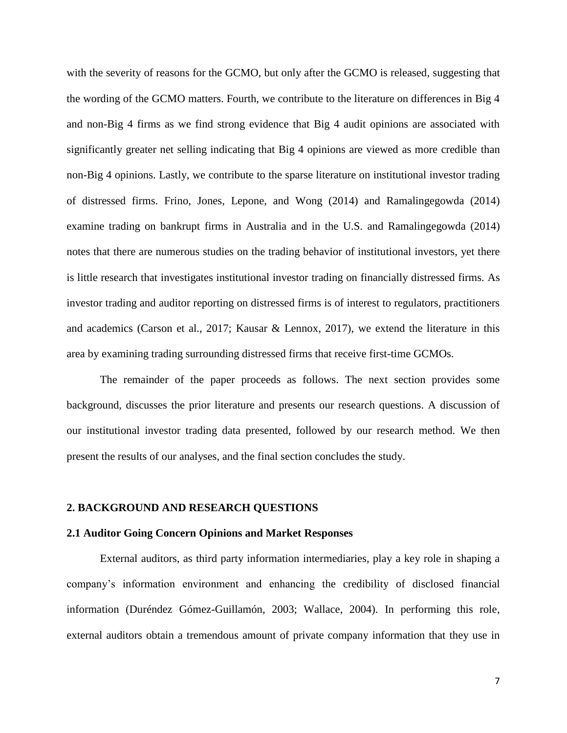with the severity of reasons for the GCMO, but only after the GCMO is released, suggesting that the wording of the GCMO matters. Fourth, we contribute to the literature on differences in Big 4 and non-Big 4 firms as we find strong evidence that Big 4 audit opinions are associated with significantly greater net selling indicating that Big 4 opinions are viewed as more credible than non-Big 4 opinions. Lastly, we contribute to the sparse literature on institutional investor trading of distressed firms. Frino, Jones, Lepone, and Wong (2014) and Ramalingegowda (2014) examine trading on bankrupt firms in Australia and in the U.S. and Ramalingegowda (2014) notes that there are numerous studies on the trading behavior of institutional investors, yet there is little research that investigates institutional investor trading on financially distressed firms. As investor trading and auditor reporting on distressed firms is of interest to regulators, practitioners and academics (Carson et al., 2017; Kausar & Lennox, 2017), we extend the literature in this area by examining trading surrounding distressed firms that receive first-time GCMOs.

The remainder of the paper proceeds as follows. The next section provides some background, discusses the prior literature and presents our research questions. A discussion of our institutional investor trading data presented, followed by our research method. We then present the results of our analyses, and the final section concludes the study.

#### **2. BACKGROUND AND RESEARCH QUESTIONS**

#### **2.1 Auditor Going Concern Opinions and Market Responses**

External auditors, as third party information intermediaries, play a key role in shaping a company's information environment and enhancing the credibility of disclosed financial information (Duréndez Gómez-Guillamón, 2003; Wallace, 2004). In performing this role, external auditors obtain a tremendous amount of private company information that they use in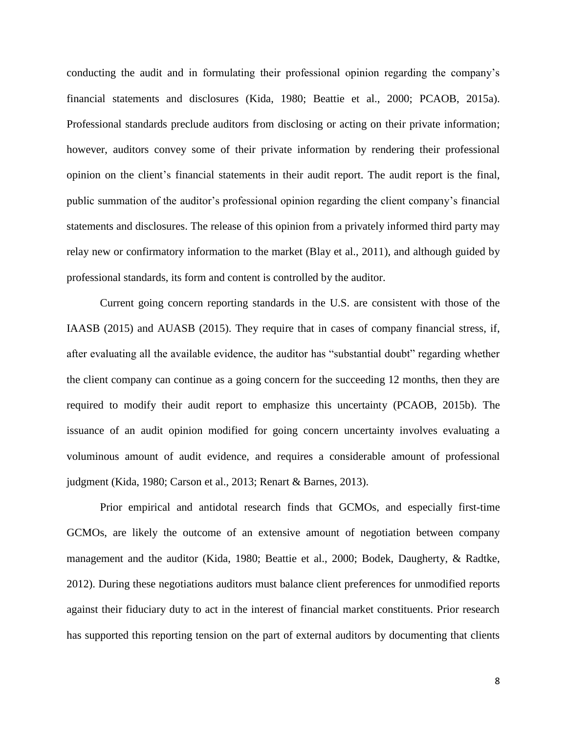conducting the audit and in formulating their professional opinion regarding the company's financial statements and disclosures (Kida, 1980; Beattie et al., 2000; PCAOB, 2015a). Professional standards preclude auditors from disclosing or acting on their private information; however, auditors convey some of their private information by rendering their professional opinion on the client's financial statements in their audit report. The audit report is the final, public summation of the auditor's professional opinion regarding the client company's financial statements and disclosures. The release of this opinion from a privately informed third party may relay new or confirmatory information to the market (Blay et al., 2011), and although guided by professional standards, its form and content is controlled by the auditor.

Current going concern reporting standards in the U.S. are consistent with those of the IAASB (2015) and AUASB (2015). They require that in cases of company financial stress, if, after evaluating all the available evidence, the auditor has "substantial doubt" regarding whether the client company can continue as a going concern for the succeeding 12 months, then they are required to modify their audit report to emphasize this uncertainty (PCAOB, 2015b). The issuance of an audit opinion modified for going concern uncertainty involves evaluating a voluminous amount of audit evidence, and requires a considerable amount of professional judgment (Kida, 1980; Carson et al., 2013; Renart & Barnes, 2013).

Prior empirical and antidotal research finds that GCMOs, and especially first-time GCMOs, are likely the outcome of an extensive amount of negotiation between company management and the auditor (Kida, 1980; Beattie et al., 2000; Bodek, Daugherty, & Radtke, 2012). During these negotiations auditors must balance client preferences for unmodified reports against their fiduciary duty to act in the interest of financial market constituents. Prior research has supported this reporting tension on the part of external auditors by documenting that clients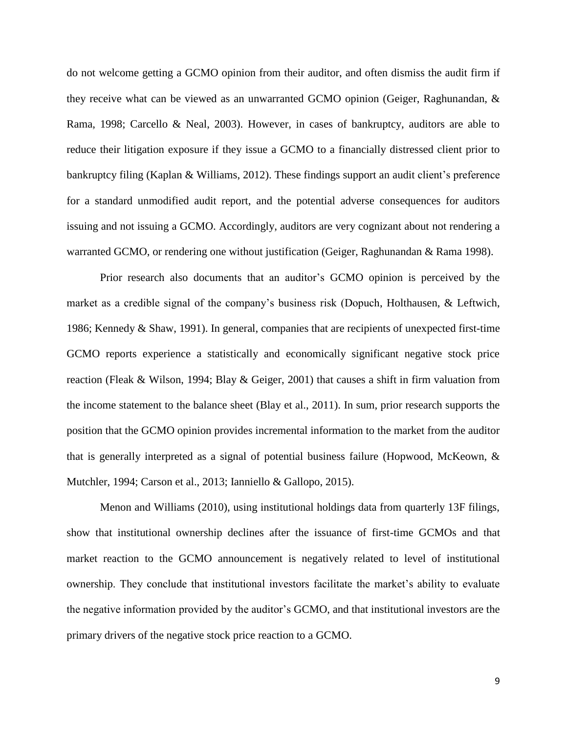do not welcome getting a GCMO opinion from their auditor, and often dismiss the audit firm if they receive what can be viewed as an unwarranted GCMO opinion (Geiger, Raghunandan, & Rama, 1998; Carcello & Neal, 2003). However, in cases of bankruptcy, auditors are able to reduce their litigation exposure if they issue a GCMO to a financially distressed client prior to bankruptcy filing (Kaplan & Williams, 2012). These findings support an audit client's preference for a standard unmodified audit report, and the potential adverse consequences for auditors issuing and not issuing a GCMO. Accordingly, auditors are very cognizant about not rendering a warranted GCMO, or rendering one without justification (Geiger, Raghunandan & Rama 1998).

Prior research also documents that an auditor's GCMO opinion is perceived by the market as a credible signal of the company's business risk (Dopuch, Holthausen, & Leftwich, 1986; Kennedy & Shaw, 1991). In general, companies that are recipients of unexpected first-time GCMO reports experience a statistically and economically significant negative stock price reaction (Fleak & Wilson, 1994; Blay & Geiger, 2001) that causes a shift in firm valuation from the income statement to the balance sheet (Blay et al., 2011). In sum, prior research supports the position that the GCMO opinion provides incremental information to the market from the auditor that is generally interpreted as a signal of potential business failure (Hopwood, McKeown, & Mutchler, 1994; Carson et al., 2013; Ianniello & Gallopo, 2015).

Menon and Williams (2010), using institutional holdings data from quarterly 13F filings, show that institutional ownership declines after the issuance of first-time GCMOs and that market reaction to the GCMO announcement is negatively related to level of institutional ownership. They conclude that institutional investors facilitate the market's ability to evaluate the negative information provided by the auditor's GCMO, and that institutional investors are the primary drivers of the negative stock price reaction to a GCMO.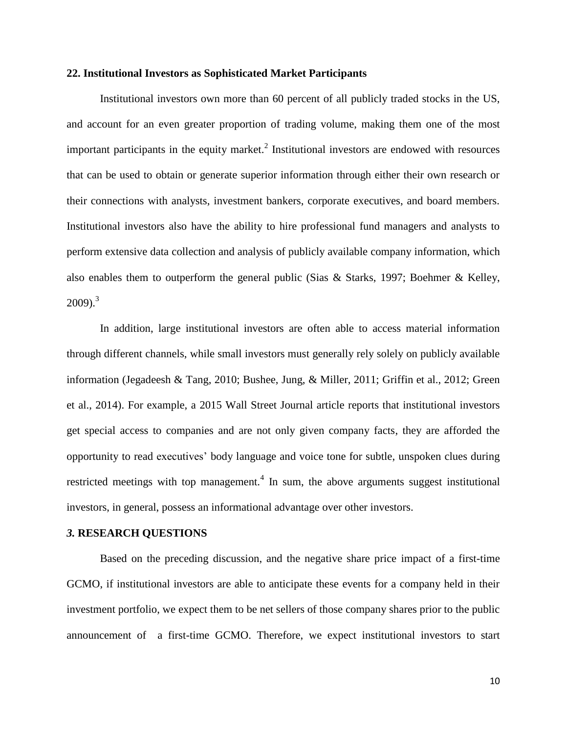#### **22. Institutional Investors as Sophisticated Market Participants**

Institutional investors own more than 60 percent of all publicly traded stocks in the US, and account for an even greater proportion of trading volume, making them one of the most important participants in the equity market.<sup>2</sup> Institutional investors are endowed with resources that can be used to obtain or generate superior information through either their own research or their connections with analysts, investment bankers, corporate executives, and board members. Institutional investors also have the ability to hire professional fund managers and analysts to perform extensive data collection and analysis of publicly available company information, which also enables them to outperform the general public (Sias & Starks, 1997; Boehmer & Kelley,  $2009$ ).<sup>3</sup>

In addition, large institutional investors are often able to access material information through different channels, while small investors must generally rely solely on publicly available information (Jegadeesh & Tang, 2010; Bushee, Jung, & Miller, 2011; Griffin et al., 2012; Green et al., 2014). For example, a 2015 Wall Street Journal article reports that institutional investors get special access to companies and are not only given company facts, they are afforded the opportunity to read executives' body language and voice tone for subtle, unspoken clues during restricted meetings with top management.<sup>4</sup> In sum, the above arguments suggest institutional investors, in general, possess an informational advantage over other investors.

#### *3.* **RESEARCH QUESTIONS**

Based on the preceding discussion, and the negative share price impact of a first-time GCMO, if institutional investors are able to anticipate these events for a company held in their investment portfolio, we expect them to be net sellers of those company shares prior to the public announcement of a first-time GCMO. Therefore, we expect institutional investors to start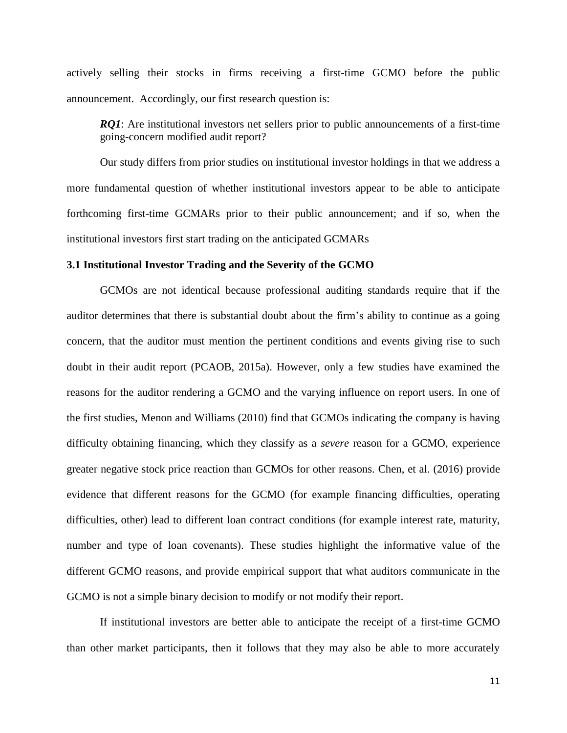actively selling their stocks in firms receiving a first-time GCMO before the public announcement. Accordingly, our first research question is:

*RQ1*: Are institutional investors net sellers prior to public announcements of a first-time going-concern modified audit report?

Our study differs from prior studies on institutional investor holdings in that we address a more fundamental question of whether institutional investors appear to be able to anticipate forthcoming first-time GCMARs prior to their public announcement; and if so, when the institutional investors first start trading on the anticipated GCMARs

# **3.1 Institutional Investor Trading and the Severity of the GCMO**

GCMOs are not identical because professional auditing standards require that if the auditor determines that there is substantial doubt about the firm's ability to continue as a going concern, that the auditor must mention the pertinent conditions and events giving rise to such doubt in their audit report (PCAOB, 2015a). However, only a few studies have examined the reasons for the auditor rendering a GCMO and the varying influence on report users. In one of the first studies, Menon and Williams (2010) find that GCMOs indicating the company is having difficulty obtaining financing, which they classify as a *severe* reason for a GCMO, experience greater negative stock price reaction than GCMOs for other reasons. Chen, et al. (2016) provide evidence that different reasons for the GCMO (for example financing difficulties, operating difficulties, other) lead to different loan contract conditions (for example interest rate, maturity, number and type of loan covenants). These studies highlight the informative value of the different GCMO reasons, and provide empirical support that what auditors communicate in the GCMO is not a simple binary decision to modify or not modify their report.

If institutional investors are better able to anticipate the receipt of a first-time GCMO than other market participants, then it follows that they may also be able to more accurately

11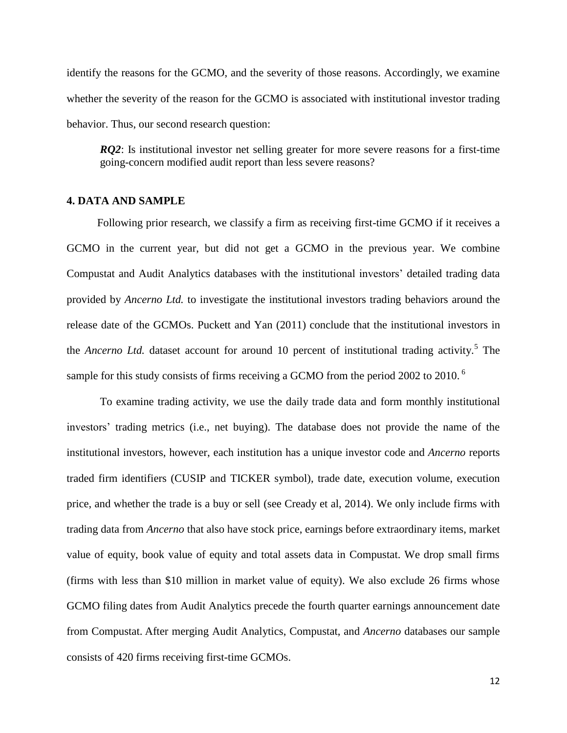identify the reasons for the GCMO, and the severity of those reasons. Accordingly, we examine whether the severity of the reason for the GCMO is associated with institutional investor trading behavior. Thus, our second research question:

*RQ2*: Is institutional investor net selling greater for more severe reasons for a first-time going-concern modified audit report than less severe reasons?

# **4. DATA AND SAMPLE**

 Following prior research, we classify a firm as receiving first-time GCMO if it receives a GCMO in the current year, but did not get a GCMO in the previous year. We combine Compustat and Audit Analytics databases with the institutional investors' detailed trading data provided by *Ancerno Ltd.* to investigate the institutional investors trading behaviors around the release date of the GCMOs. Puckett and Yan (2011) conclude that the institutional investors in the *Ancerno Ltd*. dataset account for around 10 percent of institutional trading activity.<sup>5</sup> The sample for this study consists of firms receiving a GCMO from the period 2002 to 2010.<sup>6</sup>

 To examine trading activity, we use the daily trade data and form monthly institutional investors' trading metrics (i.e., net buying). The database does not provide the name of the institutional investors, however, each institution has a unique investor code and *Ancerno* reports traded firm identifiers (CUSIP and TICKER symbol), trade date, execution volume, execution price, and whether the trade is a buy or sell (see Cready et al, 2014). We only include firms with trading data from *Ancerno* that also have stock price, earnings before extraordinary items, market value of equity, book value of equity and total assets data in Compustat. We drop small firms (firms with less than \$10 million in market value of equity). We also exclude 26 firms whose GCMO filing dates from Audit Analytics precede the fourth quarter earnings announcement date from Compustat. After merging Audit Analytics, Compustat, and *Ancerno* databases our sample consists of 420 firms receiving first-time GCMOs.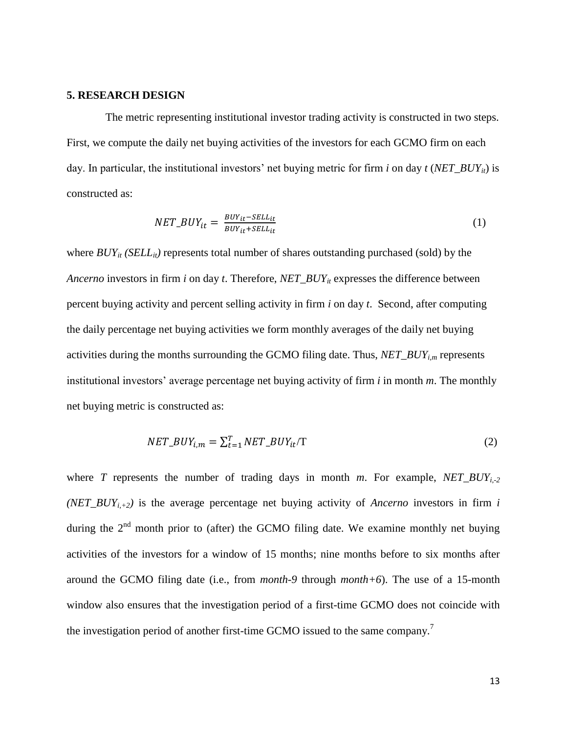#### **5. RESEARCH DESIGN**

 The metric representing institutional investor trading activity is constructed in two steps. First, we compute the daily net buying activities of the investors for each GCMO firm on each day. In particular, the institutional investors' net buying metric for firm *i* on day  $t$  (*NET\_BUY<sub>it</sub>*) is constructed as:

$$
NET\_BUY_{it} = \frac{BUY_{it} - SEL_{it}}{BUY_{it} + SEL_{it}} \tag{1}
$$

where  $BUY_{it}$  *(SELL<sub>it</sub>*) represents total number of shares outstanding purchased (sold) by the *Ancerno* investors in firm *i* on day *t*. Therefore, *NET\_BUYit* expresses the difference between percent buying activity and percent selling activity in firm *i* on day *t*. Second, after computing the daily percentage net buying activities we form monthly averages of the daily net buying activities during the months surrounding the GCMO filing date. Thus, *NET\_BUYi,m* represents institutional investors' average percentage net buying activity of firm *i* in month *m*. The monthly net buying metric is constructed as:

$$
NET\_BUY_{i,m} = \sum_{t=1}^{T} NET\_BUY_{it}/T
$$
 (2)

where *T* represents the number of trading days in month *m*. For example, *NET\_BUY*<sub>*i*-2</sub> *(NET\_BUY<sub>i,+2</sub>)* is the average percentage net buying activity of *Ancerno* investors in firm *i* during the  $2<sup>nd</sup>$  month prior to (after) the GCMO filing date. We examine monthly net buying activities of the investors for a window of 15 months; nine months before to six months after around the GCMO filing date (i.e., from *month-9* through *month+6*). The use of a 15-month window also ensures that the investigation period of a first-time GCMO does not coincide with the investigation period of another first-time GCMO issued to the same company.<sup>7</sup>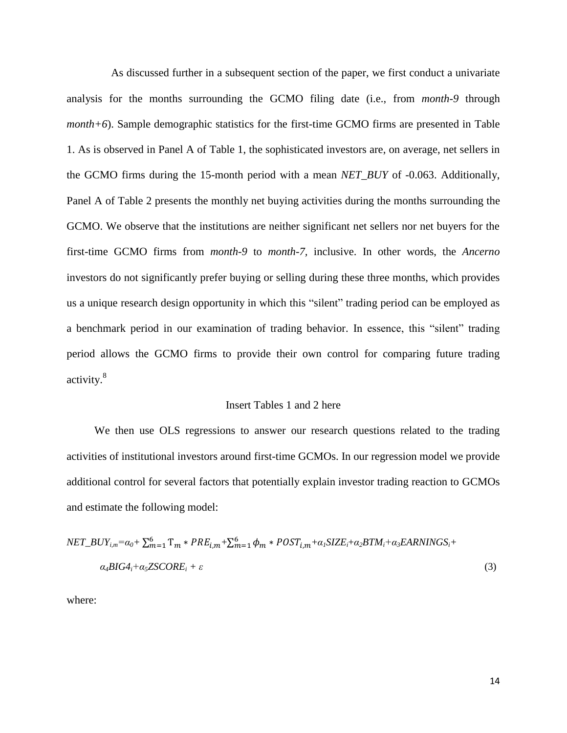As discussed further in a subsequent section of the paper, we first conduct a univariate analysis for the months surrounding the GCMO filing date (i.e., from *month-9* through *month+6*). Sample demographic statistics for the first-time GCMO firms are presented in Table 1. As is observed in Panel A of Table 1, the sophisticated investors are, on average, net sellers in the GCMO firms during the 15-month period with a mean *NET\_BUY* of -0.063. Additionally, Panel A of Table 2 presents the monthly net buying activities during the months surrounding the GCMO. We observe that the institutions are neither significant net sellers nor net buyers for the first-time GCMO firms from *month-9* to *month-7,* inclusive. In other words, the *Ancerno* investors do not significantly prefer buying or selling during these three months, which provides us a unique research design opportunity in which this "silent" trading period can be employed as a benchmark period in our examination of trading behavior. In essence, this "silent" trading period allows the GCMO firms to provide their own control for comparing future trading activity.<sup>8</sup>

#### Insert Tables 1 and 2 here

 We then use OLS regressions to answer our research questions related to the trading activities of institutional investors around first-time GCMOs. In our regression model we provide additional control for several factors that potentially explain investor trading reaction to GCMOs and estimate the following model:

$$
NET\_BUY_{i,m} = \alpha_0 + \sum_{m=1}^{6} T_m * PRE_{i,m} + \sum_{m=1}^{6} \phi_m * POST_{i,m} + \alpha_i SIZE_i + \alpha_2 BTM_i + \alpha_3 EARNINGS_i + \alpha_4 BIG4_i + \alpha_5 ZSCORE_i + \varepsilon
$$
\n(3)

where: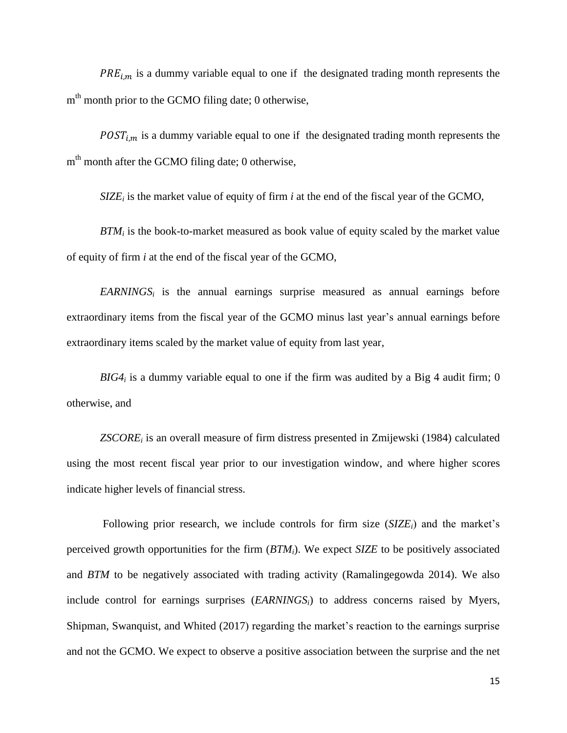$PRE_{i,m}$  is a dummy variable equal to one if the designated trading month represents the m<sup>th</sup> month prior to the GCMO filing date; 0 otherwise,

 $POST_{i.m}$  is a dummy variable equal to one if the designated trading month represents the m<sup>th</sup> month after the GCMO filing date; 0 otherwise,

*SIZE<sup>i</sup>* is the market value of equity of firm *i* at the end of the fiscal year of the GCMO,

 *BTM<sup>i</sup>* is the book-to-market measured as book value of equity scaled by the market value of equity of firm *i* at the end of the fiscal year of the GCMO,

 *EARNINGS<sup>i</sup>* is the annual earnings surprise measured as annual earnings before extraordinary items from the fiscal year of the GCMO minus last year's annual earnings before extraordinary items scaled by the market value of equity from last year,

 $BIG4<sub>i</sub>$  is a dummy variable equal to one if the firm was audited by a Big 4 audit firm; 0 otherwise, and

*ZSCORE<sup>i</sup>* is an overall measure of firm distress presented in Zmijewski (1984) calculated using the most recent fiscal year prior to our investigation window, and where higher scores indicate higher levels of financial stress.

 Following prior research, we include controls for firm size (*SIZEi*) and the market's perceived growth opportunities for the firm (*BTMi*). We expect *SIZE* to be positively associated and *BTM* to be negatively associated with trading activity (Ramalingegowda 2014). We also include control for earnings surprises (*EARNINGSi*) to address concerns raised by Myers, Shipman, Swanquist, and Whited (2017) regarding the market's reaction to the earnings surprise and not the GCMO. We expect to observe a positive association between the surprise and the net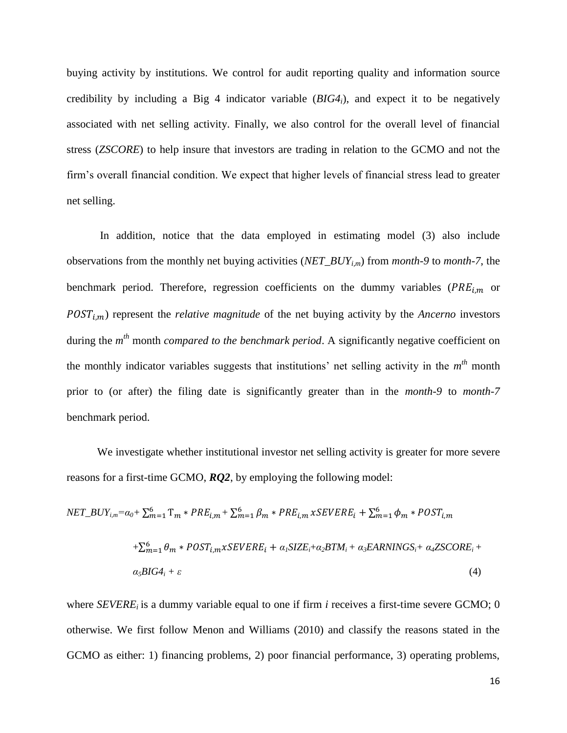buying activity by institutions. We control for audit reporting quality and information source credibility by including a Big 4 indicator variable (*BIG4i*), and expect it to be negatively associated with net selling activity. Finally, we also control for the overall level of financial stress (*ZSCORE*) to help insure that investors are trading in relation to the GCMO and not the firm's overall financial condition. We expect that higher levels of financial stress lead to greater net selling.

In addition, notice that the data employed in estimating model (3) also include observations from the monthly net buying activities (*NET\_BUYi,m*) from *month-9* to *month-7*, the benchmark period. Therefore, regression coefficients on the dummy variables ( $PRE_{i,m}$  or ,) represent the *relative magnitude* of the net buying activity by the *Ancerno* investors during the *m th* month *compared to the benchmark period*. A significantly negative coefficient on the monthly indicator variables suggests that institutions' net selling activity in the *m th* month prior to (or after) the filing date is significantly greater than in the *month-9* to *month-7* benchmark period.

We investigate whether institutional investor net selling activity is greater for more severe reasons for a first-time GCMO, *RQ2*, by employing the following model:

$$
NET\_BUY_{i,m} = \alpha_0 + \sum_{m=1}^{6} T_m * PRE_{i,m} + \sum_{m=1}^{6} \beta_m * PRE_{i,m} xSEVERE_i + \sum_{m=1}^{6} \phi_m * POST_{i,m}
$$

$$
+ \sum_{m=1}^{6} \theta_m * POST_{i,m} xSEVERE_i + \alpha_i SIZE_i + \alpha_2 BTM_i + \alpha_3 EARNINGS_i + \alpha_4 ZSCORE_i + \alpha_5 BIG4_i + \varepsilon
$$
(4)

where *SEVERE<sup>i</sup>* is a dummy variable equal to one if firm *i* receives a first-time severe GCMO; 0 otherwise. We first follow Menon and Williams (2010) and classify the reasons stated in the GCMO as either: 1) financing problems, 2) poor financial performance, 3) operating problems,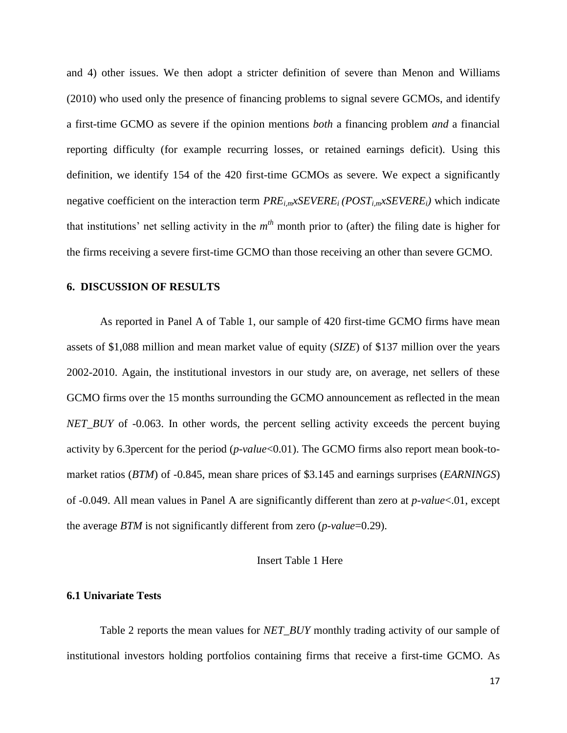and 4) other issues. We then adopt a stricter definition of severe than Menon and Williams (2010) who used only the presence of financing problems to signal severe GCMOs, and identify a first-time GCMO as severe if the opinion mentions *both* a financing problem *and* a financial reporting difficulty (for example recurring losses, or retained earnings deficit). Using this definition, we identify 154 of the 420 first-time GCMOs as severe. We expect a significantly negative coefficient on the interaction term *PREi,mxSEVEREi (POSTi,mxSEVEREi)* which indicate that institutions' net selling activity in the  $m<sup>th</sup>$  month prior to (after) the filing date is higher for the firms receiving a severe first-time GCMO than those receiving an other than severe GCMO.

#### **6. DISCUSSION OF RESULTS**

As reported in Panel A of Table 1, our sample of 420 first-time GCMO firms have mean assets of \$1,088 million and mean market value of equity (*SIZE*) of \$137 million over the years 2002-2010. Again, the institutional investors in our study are, on average, net sellers of these GCMO firms over the 15 months surrounding the GCMO announcement as reflected in the mean *NET\_BUY* of -0.063. In other words, the percent selling activity exceeds the percent buying activity by 6.3percent for the period (*p-value*<0.01). The GCMO firms also report mean book-tomarket ratios (*BTM*) of -0.845, mean share prices of \$3.145 and earnings surprises (*EARNINGS*) of -0.049. All mean values in Panel A are significantly different than zero at *p-value*<.01, except the average *BTM* is not significantly different from zero (*p-value*=0.29).

# Insert Table 1 Here

## **6.1 Univariate Tests**

Table 2 reports the mean values for *NET\_BUY* monthly trading activity of our sample of institutional investors holding portfolios containing firms that receive a first-time GCMO. As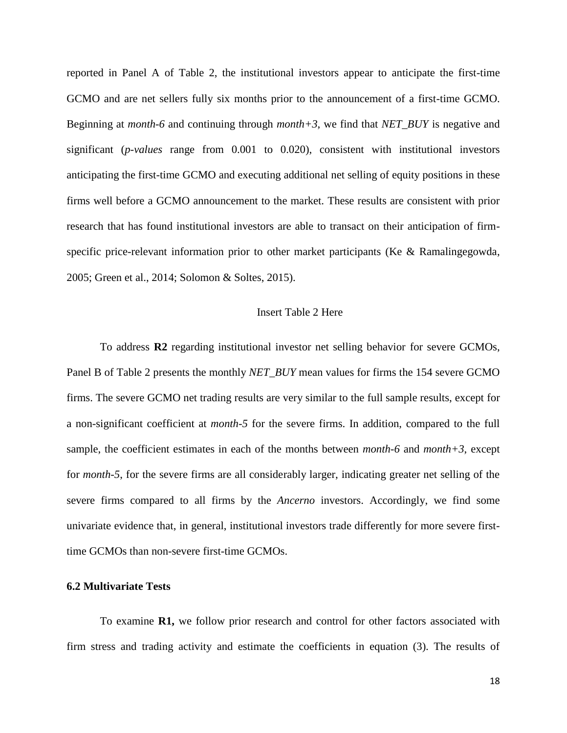reported in Panel A of Table 2, the institutional investors appear to anticipate the first-time GCMO and are net sellers fully six months prior to the announcement of a first-time GCMO. Beginning at *month-6* and continuing through *month+3*, we find that *NET\_BUY* is negative and significant (*p-values* range from 0.001 to 0.020), consistent with institutional investors anticipating the first-time GCMO and executing additional net selling of equity positions in these firms well before a GCMO announcement to the market. These results are consistent with prior research that has found institutional investors are able to transact on their anticipation of firmspecific price-relevant information prior to other market participants (Ke & Ramalingegowda, 2005; Green et al., 2014; Solomon & Soltes, 2015).

### Insert Table 2 Here

To address **R2** regarding institutional investor net selling behavior for severe GCMOs, Panel B of Table 2 presents the monthly *NET\_BUY* mean values for firms the 154 severe GCMO firms. The severe GCMO net trading results are very similar to the full sample results, except for a non-significant coefficient at *month-5* for the severe firms. In addition, compared to the full sample, the coefficient estimates in each of the months between *month-6* and *month+3*, except for *month-5*, for the severe firms are all considerably larger, indicating greater net selling of the severe firms compared to all firms by the *Ancerno* investors. Accordingly, we find some univariate evidence that, in general, institutional investors trade differently for more severe firsttime GCMOs than non-severe first-time GCMOs.

## **6.2 Multivariate Tests**

To examine **R1,** we follow prior research and control for other factors associated with firm stress and trading activity and estimate the coefficients in equation (3). The results of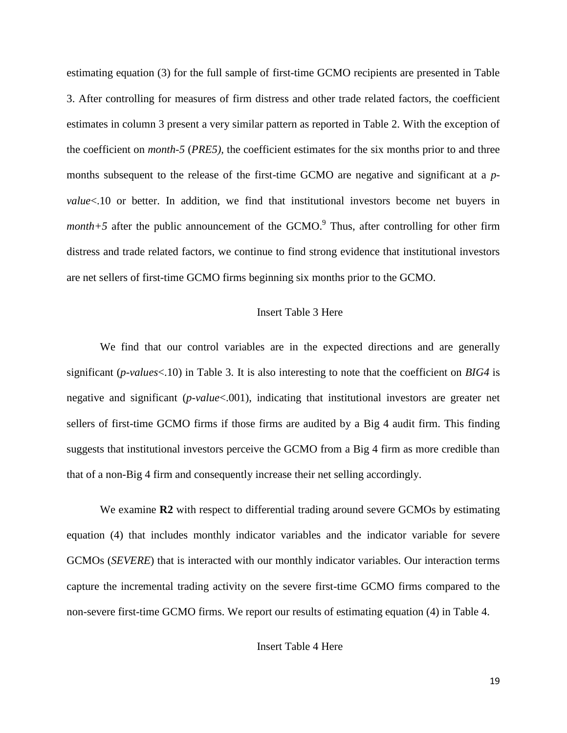estimating equation (3) for the full sample of first-time GCMO recipients are presented in Table 3. After controlling for measures of firm distress and other trade related factors, the coefficient estimates in column 3 present a very similar pattern as reported in Table 2. With the exception of the coefficient on *month-5* (*PRE5),* the coefficient estimates for the six months prior to and three months subsequent to the release of the first-time GCMO are negative and significant at a *pvalue*<.10 or better. In addition, we find that institutional investors become net buyers in *month* $+5$  after the public announcement of the GCMO.<sup>9</sup> Thus, after controlling for other firm distress and trade related factors, we continue to find strong evidence that institutional investors are net sellers of first-time GCMO firms beginning six months prior to the GCMO.

# Insert Table 3 Here

We find that our control variables are in the expected directions and are generally significant (*p-values*<.10) in Table 3. It is also interesting to note that the coefficient on *BIG4* is negative and significant (*p-value*<.001), indicating that institutional investors are greater net sellers of first-time GCMO firms if those firms are audited by a Big 4 audit firm. This finding suggests that institutional investors perceive the GCMO from a Big 4 firm as more credible than that of a non-Big 4 firm and consequently increase their net selling accordingly.

We examine **R2** with respect to differential trading around severe GCMOs by estimating equation (4) that includes monthly indicator variables and the indicator variable for severe GCMOs (*SEVERE*) that is interacted with our monthly indicator variables. Our interaction terms capture the incremental trading activity on the severe first-time GCMO firms compared to the non-severe first-time GCMO firms. We report our results of estimating equation (4) in Table 4.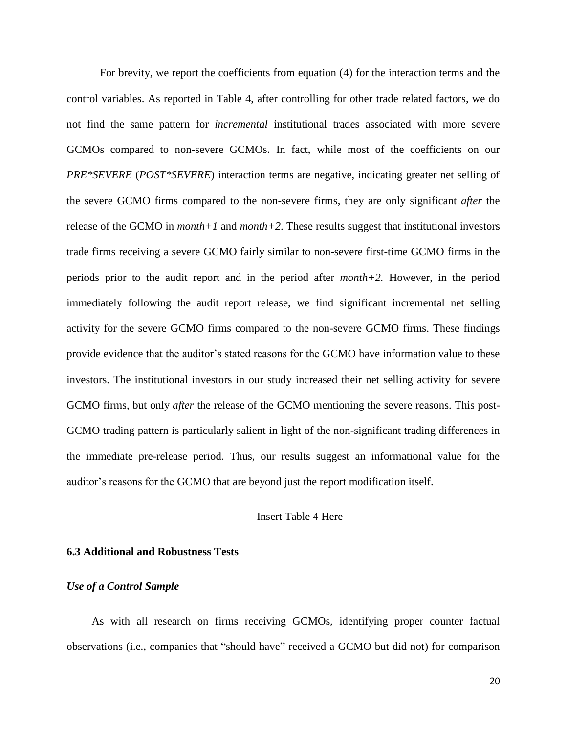For brevity, we report the coefficients from equation (4) for the interaction terms and the control variables. As reported in Table 4, after controlling for other trade related factors, we do not find the same pattern for *incremental* institutional trades associated with more severe GCMOs compared to non-severe GCMOs. In fact, while most of the coefficients on our *PRE\*SEVERE* (*POST\*SEVERE*) interaction terms are negative, indicating greater net selling of the severe GCMO firms compared to the non-severe firms, they are only significant *after* the release of the GCMO in *month+1* and *month+2*. These results suggest that institutional investors trade firms receiving a severe GCMO fairly similar to non-severe first-time GCMO firms in the periods prior to the audit report and in the period after *month+2.* However, in the period immediately following the audit report release, we find significant incremental net selling activity for the severe GCMO firms compared to the non-severe GCMO firms. These findings provide evidence that the auditor's stated reasons for the GCMO have information value to these investors. The institutional investors in our study increased their net selling activity for severe GCMO firms, but only *after* the release of the GCMO mentioning the severe reasons. This post-GCMO trading pattern is particularly salient in light of the non-significant trading differences in the immediate pre-release period. Thus, our results suggest an informational value for the auditor's reasons for the GCMO that are beyond just the report modification itself.

## Insert Table 4 Here

## **6.3 Additional and Robustness Tests**

#### *Use of a Control Sample*

 As with all research on firms receiving GCMOs, identifying proper counter factual observations (i.e., companies that "should have" received a GCMO but did not) for comparison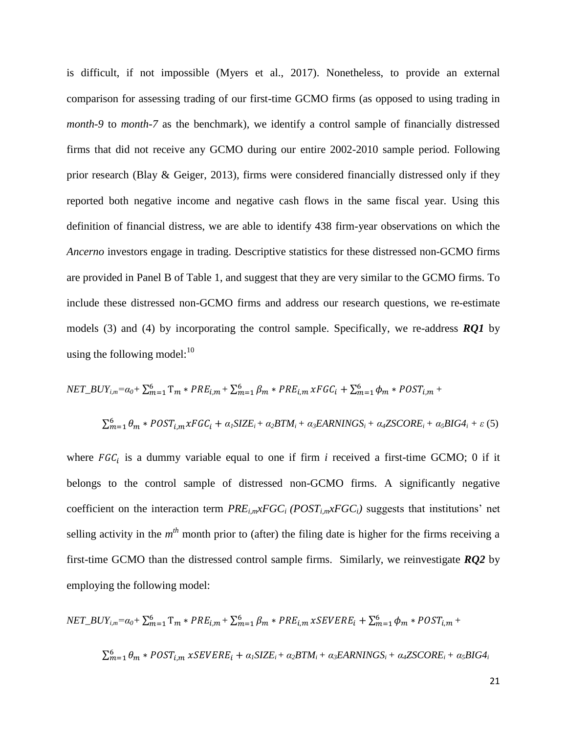is difficult, if not impossible (Myers et al., 2017). Nonetheless, to provide an external comparison for assessing trading of our first-time GCMO firms (as opposed to using trading in *month-9* to *month-7* as the benchmark), we identify a control sample of financially distressed firms that did not receive any GCMO during our entire 2002-2010 sample period. Following prior research (Blay & Geiger, 2013), firms were considered financially distressed only if they reported both negative income and negative cash flows in the same fiscal year. Using this definition of financial distress, we are able to identify 438 firm-year observations on which the *Ancerno* investors engage in trading. Descriptive statistics for these distressed non-GCMO firms are provided in Panel B of Table 1, and suggest that they are very similar to the GCMO firms. To include these distressed non-GCMO firms and address our research questions, we re-estimate models (3) and (4) by incorporating the control sample. Specifically, we re-address *RQ1* by using the following model: $^{10}$ 

$$
NET\_BUY_{i,m} = \alpha_0 + \sum_{m=1}^{6} T_m * PRE_{i,m} + \sum_{m=1}^{6} \beta_m * PRE_{i,m} xFGC_i + \sum_{m=1}^{6} \phi_m * POST_{i,m} +
$$
  

$$
\sum_{m=1}^{6} \theta_m * POST_{i,m} xFGC_i + \alpha_1 SIZE_i + \alpha_2 BTM_i + \alpha_3 EARNINGS_i + \alpha_4 ZSCORE_i + \alpha_5 BIG4_i + \varepsilon (5)
$$

where  $FGC_i$  is a dummy variable equal to one if firm *i* received a first-time GCMO; 0 if it belongs to the control sample of distressed non-GCMO firms. A significantly negative coefficient on the interaction term  $PRE_{im} \times FGC_i$  ( $POST_{im} \times FGC_i$ ) suggests that institutions' net selling activity in the  $m<sup>th</sup>$  month prior to (after) the filing date is higher for the firms receiving a first-time GCMO than the distressed control sample firms. Similarly, we reinvestigate *RQ2* by employing the following model:

$$
NET\_BUY_{i,m} = \alpha_0 + \sum_{m=1}^{6} T_m * PRE_{i,m} + \sum_{m=1}^{6} \beta_m * PRE_{i,m} xSEVERE_i + \sum_{m=1}^{6} \phi_m * POST_{i,m} +
$$
  

$$
\sum_{m=1}^{6} \theta_m * POST_{i,m} xSEVERE_i + \alpha_i SIZE_i + \alpha_2 BTM_i + \alpha_3 EARNINGS_i + \alpha_4 ZSCORE_i + \alpha_5 BIG4_i
$$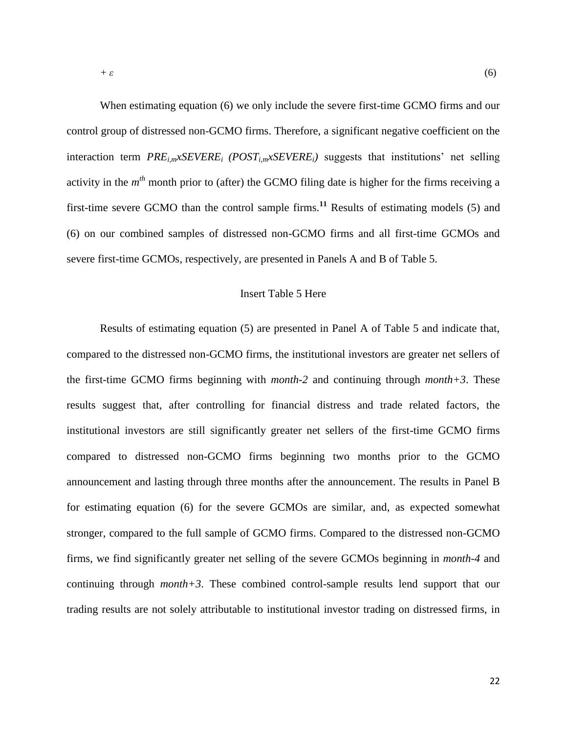When estimating equation (6) we only include the severe first-time GCMO firms and our control group of distressed non-GCMO firms. Therefore, a significant negative coefficient on the interaction term *PREi,mxSEVEREi (POSTi,mxSEVEREi)* suggests that institutions' net selling activity in the *m th* month prior to (after) the GCMO filing date is higher for the firms receiving a first-time severe GCMO than the control sample firms.**<sup>11</sup>** Results of estimating models (5) and (6) on our combined samples of distressed non-GCMO firms and all first-time GCMOs and severe first-time GCMOs, respectively, are presented in Panels A and B of Table 5.

#### Insert Table 5 Here

Results of estimating equation (5) are presented in Panel A of Table 5 and indicate that, compared to the distressed non-GCMO firms, the institutional investors are greater net sellers of the first-time GCMO firms beginning with *month-2* and continuing through *month+3*. These results suggest that, after controlling for financial distress and trade related factors, the institutional investors are still significantly greater net sellers of the first-time GCMO firms compared to distressed non-GCMO firms beginning two months prior to the GCMO announcement and lasting through three months after the announcement. The results in Panel B for estimating equation (6) for the severe GCMOs are similar, and, as expected somewhat stronger, compared to the full sample of GCMO firms. Compared to the distressed non-GCMO firms, we find significantly greater net selling of the severe GCMOs beginning in *month-4* and continuing through *month+3*. These combined control-sample results lend support that our trading results are not solely attributable to institutional investor trading on distressed firms, in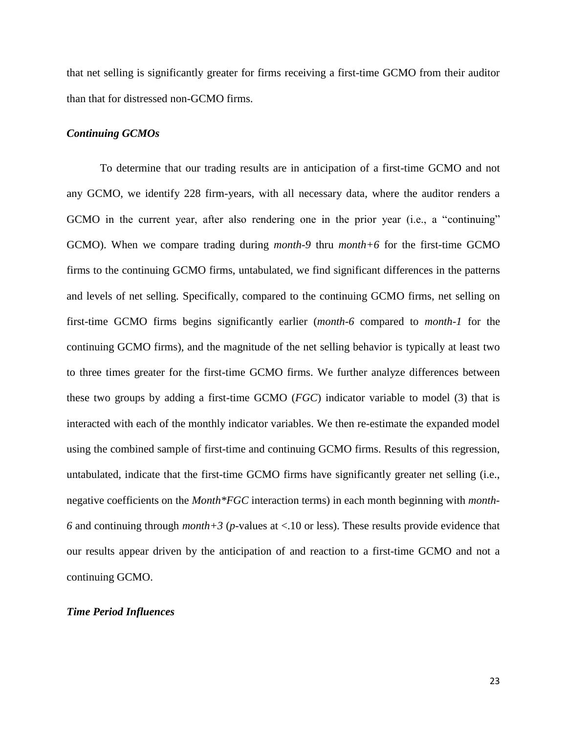that net selling is significantly greater for firms receiving a first-time GCMO from their auditor than that for distressed non-GCMO firms.

#### *Continuing GCMOs*

To determine that our trading results are in anticipation of a first-time GCMO and not any GCMO, we identify 228 firm-years, with all necessary data, where the auditor renders a GCMO in the current year, after also rendering one in the prior year (i.e., a "continuing" GCMO). When we compare trading during *month-9* thru *month+6* for the first-time GCMO firms to the continuing GCMO firms, untabulated, we find significant differences in the patterns and levels of net selling. Specifically, compared to the continuing GCMO firms, net selling on first-time GCMO firms begins significantly earlier (*month-6* compared to *month-1* for the continuing GCMO firms), and the magnitude of the net selling behavior is typically at least two to three times greater for the first-time GCMO firms. We further analyze differences between these two groups by adding a first-time GCMO (*FGC*) indicator variable to model (3) that is interacted with each of the monthly indicator variables. We then re-estimate the expanded model using the combined sample of first-time and continuing GCMO firms. Results of this regression, untabulated, indicate that the first-time GCMO firms have significantly greater net selling (i.e., negative coefficients on the *Month\*FGC* interaction terms) in each month beginning with *month-6* and continuing through *month+3* (*p*-values at <.10 or less). These results provide evidence that our results appear driven by the anticipation of and reaction to a first-time GCMO and not a continuing GCMO.

#### *Time Period Influences*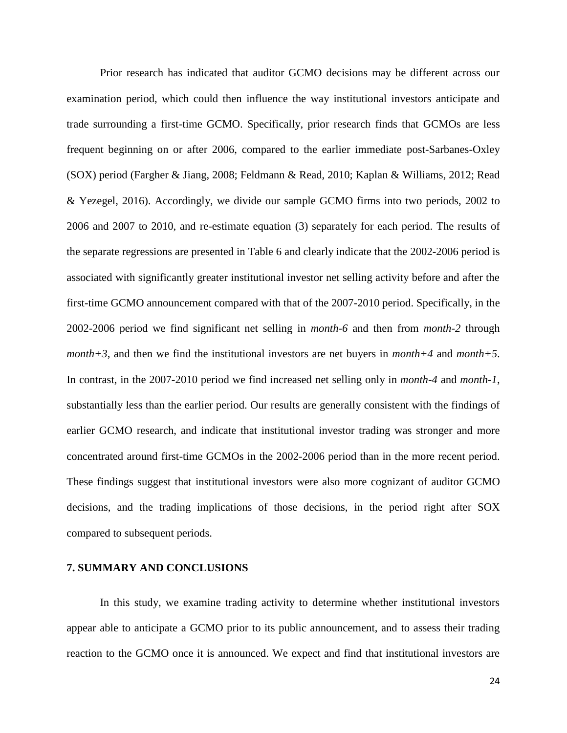Prior research has indicated that auditor GCMO decisions may be different across our examination period, which could then influence the way institutional investors anticipate and trade surrounding a first-time GCMO. Specifically, prior research finds that GCMOs are less frequent beginning on or after 2006, compared to the earlier immediate post-Sarbanes-Oxley (SOX) period (Fargher & Jiang, 2008; Feldmann & Read, 2010; Kaplan & Williams, 2012; Read & Yezegel, 2016). Accordingly, we divide our sample GCMO firms into two periods, 2002 to 2006 and 2007 to 2010, and re-estimate equation (3) separately for each period. The results of the separate regressions are presented in Table 6 and clearly indicate that the 2002-2006 period is associated with significantly greater institutional investor net selling activity before and after the first-time GCMO announcement compared with that of the 2007-2010 period. Specifically, in the 2002-2006 period we find significant net selling in *month-6* and then from *month-2* through *month+3*, and then we find the institutional investors are net buyers in *month+4* and *month+5*. In contrast, in the 2007-2010 period we find increased net selling only in *month-4* and *month-1*, substantially less than the earlier period. Our results are generally consistent with the findings of earlier GCMO research, and indicate that institutional investor trading was stronger and more concentrated around first-time GCMOs in the 2002-2006 period than in the more recent period. These findings suggest that institutional investors were also more cognizant of auditor GCMO decisions, and the trading implications of those decisions, in the period right after SOX compared to subsequent periods.

#### **7. SUMMARY AND CONCLUSIONS**

In this study, we examine trading activity to determine whether institutional investors appear able to anticipate a GCMO prior to its public announcement, and to assess their trading reaction to the GCMO once it is announced. We expect and find that institutional investors are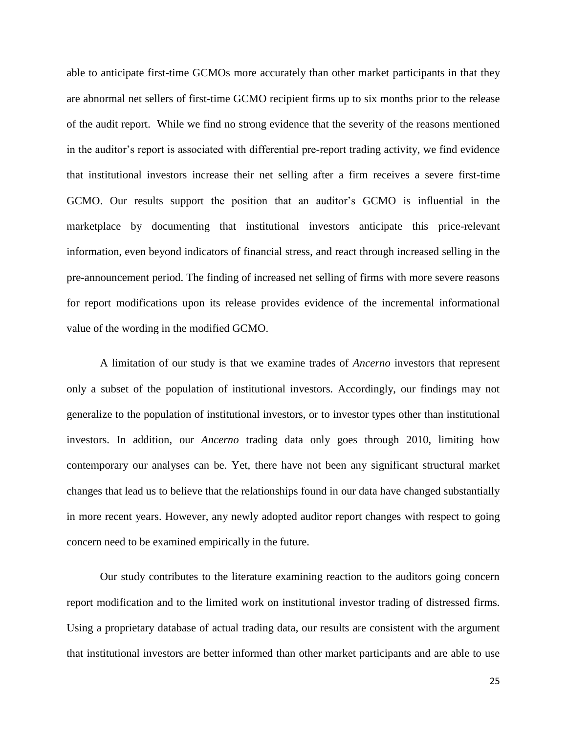able to anticipate first-time GCMOs more accurately than other market participants in that they are abnormal net sellers of first-time GCMO recipient firms up to six months prior to the release of the audit report. While we find no strong evidence that the severity of the reasons mentioned in the auditor's report is associated with differential pre-report trading activity, we find evidence that institutional investors increase their net selling after a firm receives a severe first-time GCMO. Our results support the position that an auditor's GCMO is influential in the marketplace by documenting that institutional investors anticipate this price-relevant information, even beyond indicators of financial stress, and react through increased selling in the pre-announcement period. The finding of increased net selling of firms with more severe reasons for report modifications upon its release provides evidence of the incremental informational value of the wording in the modified GCMO.

A limitation of our study is that we examine trades of *Ancerno* investors that represent only a subset of the population of institutional investors. Accordingly, our findings may not generalize to the population of institutional investors, or to investor types other than institutional investors. In addition, our *Ancerno* trading data only goes through 2010, limiting how contemporary our analyses can be. Yet, there have not been any significant structural market changes that lead us to believe that the relationships found in our data have changed substantially in more recent years. However, any newly adopted auditor report changes with respect to going concern need to be examined empirically in the future.

Our study contributes to the literature examining reaction to the auditors going concern report modification and to the limited work on institutional investor trading of distressed firms. Using a proprietary database of actual trading data, our results are consistent with the argument that institutional investors are better informed than other market participants and are able to use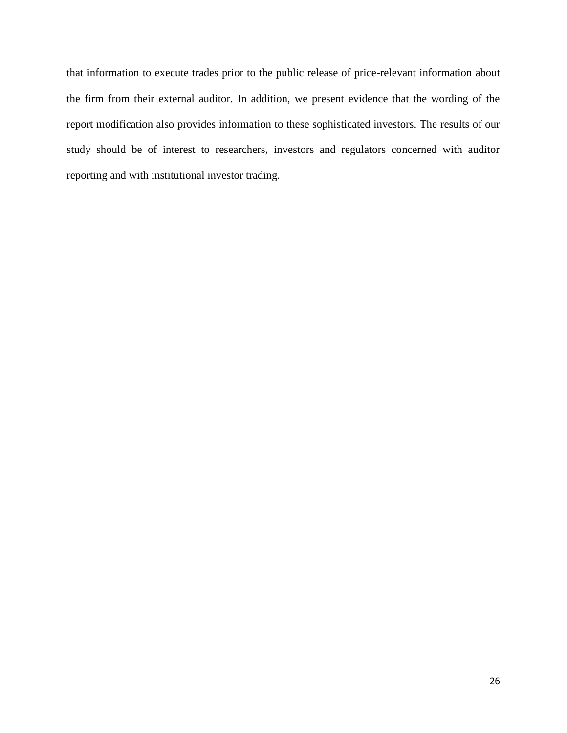that information to execute trades prior to the public release of price-relevant information about the firm from their external auditor. In addition, we present evidence that the wording of the report modification also provides information to these sophisticated investors. The results of our study should be of interest to researchers, investors and regulators concerned with auditor reporting and with institutional investor trading.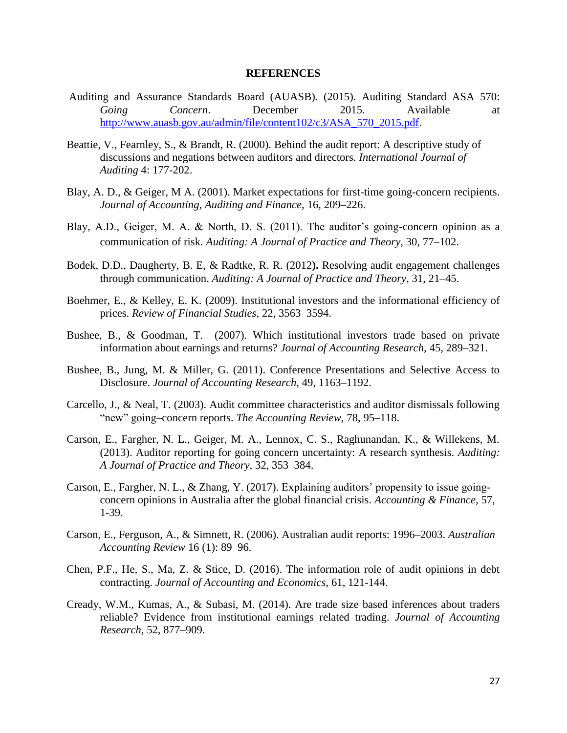#### **REFERENCES**

- Auditing and Assurance Standards Board (AUASB). (2015). Auditing Standard ASA 570: *Going Concern*. December 2015. Available at [http://www.auasb.gov.au/admin/file/content102/c3/ASA\\_570\\_2015.pdf.](http://www.auasb.gov.au/admin/file/content102/c3/ASA_570_2015.pdf)
- Beattie, V., Fearnley, S., & Brandt, R. (2000). Behind the audit report: A descriptive study of discussions and negations between auditors and directors. *International Journal of Auditing* 4: 177-202.
- Blay, A. D., & Geiger, M A. (2001). Market expectations for first-time going-concern recipients. *Journal of Accounting, Auditing and Finance,* 16, 209–226.
- Blay, A.D., Geiger, M. A. & North, D. S. (2011). The auditor's going-concern opinion as a communication of risk. *Auditing: A Journal of Practice and Theory,* 30, 77–102.
- Bodek, D.D., Daugherty, B. E, & Radtke, R. R. (2012**).** Resolving audit engagement challenges through communication. *Auditing: A Journal of Practice and Theory,* 31, 21–45.
- Boehmer, E., & Kelley, E. K. (2009). Institutional investors and the informational efficiency of prices. *Review of Financial Studies,* 22, 3563–3594.
- Bushee, B., & Goodman, T. (2007). Which institutional investors trade based on private information about earnings and returns? *Journal of Accounting Research,* 45, 289–321.
- Bushee, B., Jung, M. & Miller, G. (2011). Conference Presentations and Selective Access to Disclosure. *Journal of Accounting Research,* 49, 1163–1192.
- Carcello, J., & Neal, T. (2003). Audit committee characteristics and auditor dismissals following "new" going–concern reports. *The Accounting Review,* 78, 95–118.
- Carson, E., Fargher, N. L., Geiger, M. A., Lennox, C. S., Raghunandan, K., & Willekens, M. (2013). Auditor reporting for going concern uncertainty: A research synthesis. *Auditing: A Journal of Practice and Theory,* 32, 353–384.
- Carson, E., Fargher, N. L., & Zhang, Y. (2017). Explaining auditors' propensity to issue goingconcern opinions in Australia after the global financial crisis. *Accounting & Finance,* 57, 1-39.
- Carson, E., Ferguson, A., & Simnett, R. (2006). Australian audit reports: 1996–2003. *Australian Accounting Review* 16 (1): 89–96.
- Chen, P.F., He, S., Ma, Z. & Stice, D. (2016). The information role of audit opinions in debt contracting. *Journal of Accounting and Economics*, 61, 121-144.
- Cready, W.M., Kumas, A., & Subasi, M. (2014). Are trade size based inferences about traders reliable? Evidence from institutional earnings related trading. *Journal of Accounting Research,* 52, 877–909.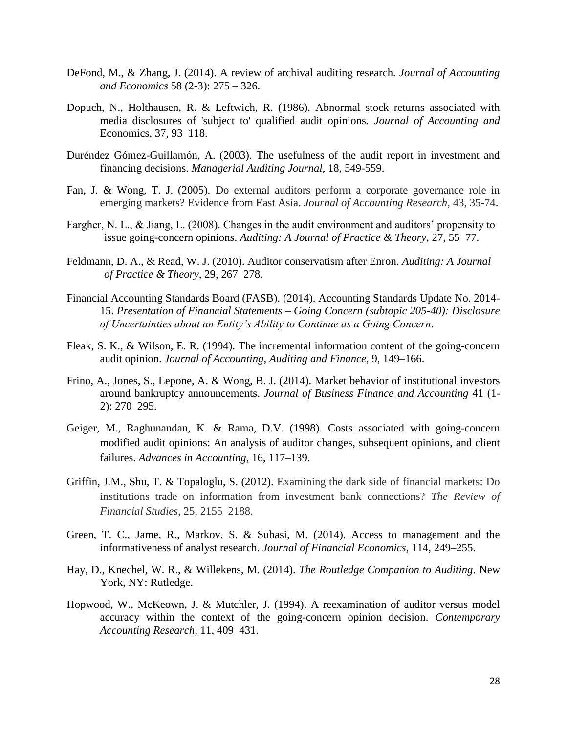- DeFond, M., & Zhang, J. (2014). A review of archival auditing research. *Journal of Accounting and Economics* 58 (2-3): 275 – 326.
- Dopuch, N., Holthausen, R. & Leftwich, R. (1986). Abnormal stock returns associated with media disclosures of 'subject to' qualified audit opinions. *Journal of Accounting and*  Economics, 37, 93–118.
- Duréndez Gómez-Guillamón, A. (2003). The usefulness of the audit report in investment and financing decisions. *Managerial Auditing Journal*, 18, 549-559.
- Fan, J. & Wong, T. J. (2005). Do external auditors perform a corporate governance role in emerging markets? Evidence from East Asia. *Journal of Accounting Research,* 43, 35-74.
- Fargher, N. L., & Jiang, L. (2008). Changes in the audit environment and auditors' propensity to issue going-concern opinions. *Auditing: A Journal of Practice & Theory*, 27, 55–77.
- Feldmann, D. A., & Read, W. J. (2010). Auditor conservatism after Enron. *Auditing: A Journal of Practice & Theory,* 29, 267–278.
- Financial Accounting Standards Board (FASB). (2014). Accounting Standards Update No. 2014- 15. *Presentation of Financial Statements – Going Concern (subtopic 205-40): Disclosure of Uncertainties about an Entity's Ability to Continue as a Going Concern*.
- Fleak, S. K., & Wilson, E. R. (1994). The incremental information content of the going-concern audit opinion. *Journal of Accounting, Auditing and Finance,* 9, 149–166.
- Frino, A., Jones, S., Lepone, A. & Wong, B. J. (2014). Market behavior of institutional investors around bankruptcy announcements. *Journal of Business Finance and Accounting* 41 (1- 2): 270–295.
- Geiger, M., Raghunandan, K. & Rama, D.V. (1998). Costs associated with going-concern modified audit opinions: An analysis of auditor changes, subsequent opinions, and client failures. *Advances in Accounting,* 16, 117–139.
- Griffin, J.M., Shu, T. & Topaloglu, S. (2012). Examining the dark side of financial markets: Do institutions trade on information from investment bank connections? *The Review of Financial Studies*, 25, 2155–2188.
- Green, T. C., Jame, R., Markov, S. & Subasi, M. (2014). Access to management and the informativeness of analyst research. *Journal of Financial Economics,* 114, 249–255.
- Hay, D., Knechel, W. R., & Willekens, M. (2014). *The Routledge Companion to Auditing*. New York, NY: Rutledge.
- Hopwood, W., McKeown, J. & Mutchler, J. (1994). A reexamination of auditor versus model accuracy within the context of the going-concern opinion decision. *Contemporary Accounting Research,* 11, 409–431.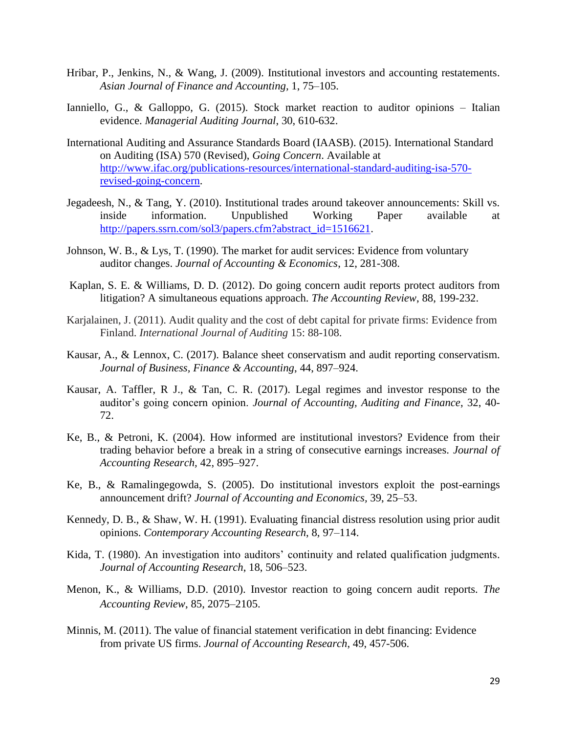- Hribar, P., Jenkins, N., & Wang, J. (2009). Institutional investors and accounting restatements. *Asian Journal of Finance and Accounting,* 1, 75–105.
- Ianniello, G., & Galloppo, G. (2015). Stock market reaction to auditor opinions Italian evidence. *Managerial Auditing Journal*, 30, 610-632.
- International Auditing and Assurance Standards Board (IAASB). (2015). International Standard on Auditing (ISA) 570 (Revised), *Going Concern*. Available at [http://www.ifac.org/publications-resources/international-standard-auditing-isa-570](http://www.ifac.org/publications-resources/international-standard-auditing-isa-570-revised-going-concern) [revised-going-concern.](http://www.ifac.org/publications-resources/international-standard-auditing-isa-570-revised-going-concern)
- Jegadeesh, N., & Tang, Y. (2010). Institutional trades around takeover announcements: Skill vs. inside information. Unpublished Working Paper available at [http://papers.ssrn.com/sol3/papers.cfm?abstract\\_id=1516621.](http://papers.ssrn.com/sol3/papers.cfm?abstract_id=1516621)
- Johnson, W. B., & Lys, T. (1990). The market for audit services: Evidence from voluntary auditor changes. *Journal of Accounting & Economics*, 12, 281-308.
- Kaplan, S. E. & Williams, D. D. (2012). Do going concern audit reports protect auditors from litigation? A simultaneous equations approach. *The Accounting Review*, 88, 199-232.
- Karjalainen, J. (2011). Audit quality and the cost of debt capital for private firms: Evidence from Finland. *International Journal of Auditing* 15: 88-108.
- Kausar, A., & Lennox, C. (2017). Balance sheet conservatism and audit reporting conservatism. *Journal of Business, Finance & Accounting*, 44, 897–924.
- Kausar, A. Taffler, R J., & Tan, C. R. (2017). Legal regimes and investor response to the auditor's going concern opinion. *Journal of Accounting, Auditing and Finance*, 32, 40- 72.
- Ke, B., & Petroni, K. (2004). How informed are institutional investors? Evidence from their trading behavior before a break in a string of consecutive earnings increases. *Journal of Accounting Research,* 42, 895–927.
- Ke, B., & Ramalingegowda, S. (2005). Do institutional investors exploit the post-earnings announcement drift? *Journal of Accounting and Economics,* 39, 25–53.
- Kennedy, D. B., & Shaw, W. H. (1991). Evaluating financial distress resolution using prior audit opinions. *Contemporary Accounting Research*, 8, 97–114.
- Kida, T. (1980). An investigation into auditors' continuity and related qualification judgments. *Journal of Accounting Research*, 18, 506–523.
- Menon, K., & Williams, D.D. (2010). Investor reaction to going concern audit reports. *The Accounting Review*, 85, 2075–2105.
- Minnis, M. (2011). [The value of financial statement verification in debt financing: Evidence](http://onlinelibrary.wiley.com/doi/10.1111/j.1475-679X.2011.00411.x/full)  [from private US firms.](http://onlinelibrary.wiley.com/doi/10.1111/j.1475-679X.2011.00411.x/full) *Journal of Accounting Research*, 49, 457-506.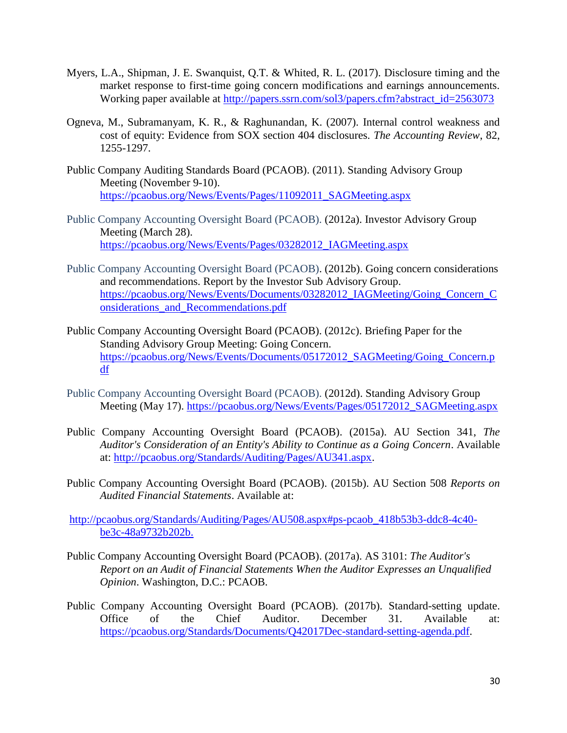- Myers, L.A., Shipman, J. E. Swanquist, Q.T. & Whited, R. L. (2017). Disclosure timing and the market response to first-time going concern modifications and earnings announcements. Working paper available at [http://papers.ssrn.com/sol3/papers.cfm?abstract\\_id=2563073](http://papers.ssrn.com/sol3/papers.cfm?abstract_id=2563073)
- Ogneva, M., Subramanyam, K. R., & Raghunandan, K. (2007). Internal control weakness and cost of equity: Evidence from SOX section 404 disclosures. *The Accounting Review*, 82, 1255-1297.
- Public Company Auditing Standards Board (PCAOB). (2011). Standing Advisory Group Meeting (November 9-10). [https://pcaobus.org/News/Events/Pages/11092011\\_SAGMeeting.aspx](https://pcaobus.org/News/Events/Pages/11092011_SAGMeeting.aspx)
- Public Company Accounting Oversight Board (PCAOB). (2012a). Investor Advisory Group Meeting (March 28). [https://pcaobus.org/News/Events/Pages/03282012\\_IAGMeeting.aspx](https://pcaobus.org/News/Events/Pages/03282012_IAGMeeting.aspx)
- Public Company Accounting Oversight Board (PCAOB). (2012b). Going concern considerations and recommendations. Report by the Investor Sub Advisory Group. [https://pcaobus.org/News/Events/Documents/03282012\\_IAGMeeting/Going\\_Concern\\_C](https://pcaobus.org/News/Events/Documents/03282012_IAGMeeting/Going_Concern_Considerations_and_Recommendations.pdf) [onsiderations\\_and\\_Recommendations.pdf](https://pcaobus.org/News/Events/Documents/03282012_IAGMeeting/Going_Concern_Considerations_and_Recommendations.pdf)
- Public Company Accounting Oversight Board (PCAOB). (2012c). Briefing Paper for the Standing Advisory Group Meeting: Going Concern. [https://pcaobus.org/News/Events/Documents/05172012\\_SAGMeeting/Going\\_Concern.p](https://pcaobus.org/News/Events/Documents/05172012_SAGMeeting/Going_Concern.pdf) [df](https://pcaobus.org/News/Events/Documents/05172012_SAGMeeting/Going_Concern.pdf)
- Public Company Accounting Oversight Board (PCAOB). (2012d). Standing Advisory Group Meeting (May 17). [https://pcaobus.org/News/Events/Pages/05172012\\_SAGMeeting.aspx](https://pcaobus.org/News/Events/Pages/05172012_SAGMeeting.aspx)
- Public Company Accounting Oversight Board (PCAOB). (2015a). AU Section 341, *The Auditor's Consideration of an Entity's Ability to Continue as a Going Concern*. Available at: [http://pcaobus.org/Standards/Auditing/Pages/AU341.aspx.](http://pcaobus.org/Standards/Auditing/Pages/AU341.aspx)
- Public Company Accounting Oversight Board (PCAOB). (2015b). AU Section 508 *Reports on Audited Financial Statements*. Available at:

[http://pcaobus.org/Standards/Auditing/Pages/AU508.aspx#ps-pcaob\\_418b53b3-ddc8-4c40](http://pcaobus.org/Standards/Auditing/Pages/AU508.aspx#ps-pcaob_418b53b3-ddc8-4c40-be3c-48a9732b202b) [be3c-48a9732b202b.](http://pcaobus.org/Standards/Auditing/Pages/AU508.aspx#ps-pcaob_418b53b3-ddc8-4c40-be3c-48a9732b202b)

- Public Company Accounting Oversight Board (PCAOB). (2017a). AS 3101: *The Auditor's Report on an Audit of Financial Statements When the Auditor Expresses an Unqualified Opinion*. Washington, D.C.: PCAOB.
- Public Company Accounting Oversight Board (PCAOB). (2017b). Standard-setting update. Office of the Chief Auditor. December 31. Available at: [https://pcaobus.org/Standards/Documents/Q42017Dec-standard-setting-agenda.pdf.](https://pcaobus.org/Standards/Documents/Q42017Dec-standard-setting-agenda.pdf)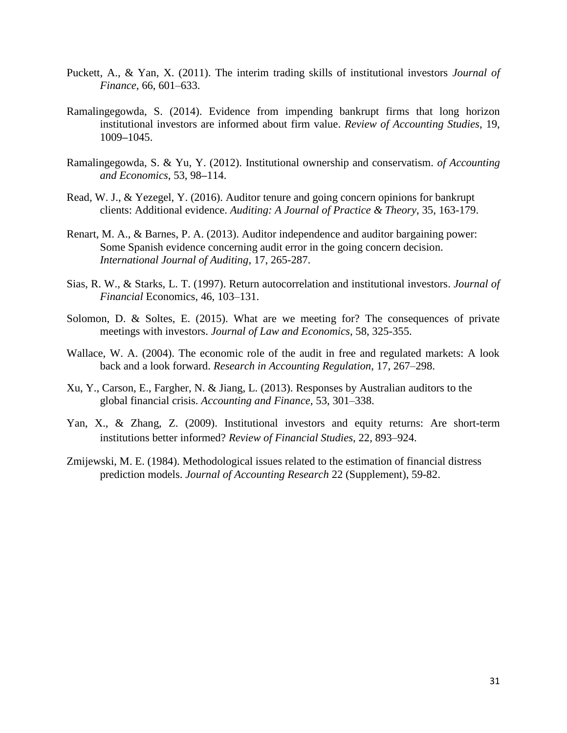- Puckett, A., & Yan, X. (2011). The interim trading skills of institutional investors *Journal of Finance*, 66, 601–633.
- Ramalingegowda, S. (2014). Evidence from impending bankrupt firms that long horizon institutional investors are informed about firm value. *Review of Accounting Studies*, 19, 1009**–**1045.
- Ramalingegowda, S. & Yu, Y. (2012). Institutional ownership and conservatism. *of Accounting and Economics*, 53, 98**–**114.
- Read, W. J., & Yezegel, Y. (2016). Auditor tenure and going concern opinions for bankrupt clients: Additional evidence. *Auditing: A Journal of Practice & Theory*, 35, 163-179.
- Renart, M. A., & Barnes, P. A. (2013). Auditor independence and auditor bargaining power: Some Spanish evidence concerning audit error in the going concern decision. *International Journal of Auditing*, 17, 265-287.
- Sias, R. W., & Starks, L. T. (1997). Return autocorrelation and institutional investors. *Journal of Financial* Economics, 46, 103–131.
- Solomon, D. & Soltes, E. (2015). What are we meeting for? The consequences of private meetings with investors. *Journal of Law and Economics*, 58, 325-355.
- Wallace, W. A. (2004). The economic role of the audit in free and regulated markets: A look back and a look forward. *Research in Accounting Regulation*, 17, 267–298.
- Xu, Y., Carson, E., Fargher, N. & Jiang, L. (2013). Responses by Australian auditors to the global financial crisis. *Accounting and Finance*, 53, 301–338.
- Yan, X., & Zhang, Z. (2009). Institutional investors and equity returns: Are short-term institutions better informed? *Review of Financial Studies*, 22, 893–924.
- Zmijewski, M. E. (1984). Methodological issues related to the estimation of financial distress prediction models. *Journal of Accounting Research* 22 (Supplement), 59-82.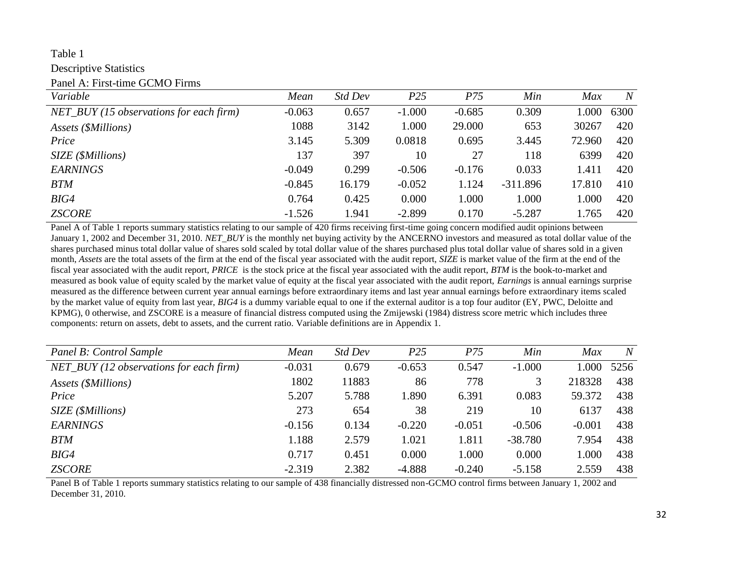# Table 1

Descriptive Statistics

Panel A: First-time GCMO Firms

| Variable                                  | Mean     | Std Dev | P <sub>25</sub> | P75      | Min        | Max    | $\overline{N}$ |
|-------------------------------------------|----------|---------|-----------------|----------|------------|--------|----------------|
| $NET_BUY$ (15 observations for each firm) | $-0.063$ | 0.657   | $-1.000$        | $-0.685$ | 0.309      | 000.1  | 6300           |
| Assets (\$Millions)                       | 1088     | 3142    | 1.000           | 29.000   | 653        | 30267  | 420            |
| Price                                     | 3.145    | 5.309   | 0.0818          | 0.695    | 3.445      | 72.960 | 420            |
| SIZE (\$Millions)                         | 137      | 397     | 10              | 27       | 118        | 6399   | 420            |
| <b>EARNINGS</b>                           | $-0.049$ | 0.299   | $-0.506$        | $-0.176$ | 0.033      | 1.411  | 420            |
| <b>BTM</b>                                | $-0.845$ | 16.179  | $-0.052$        | 1.124    | $-311.896$ | 17.810 | 410            |
| BIG4                                      | 0.764    | 0.425   | 0.000           | 1.000    | 1.000      | 1.000  | 420            |
| <b>ZSCORE</b>                             | $-1.526$ | 1.941   | $-2.899$        | 0.170    | $-5.287$   | l.765  | 420            |

Panel A of Table 1 reports summary statistics relating to our sample of 420 firms receiving first-time going concern modified audit opinions between January 1, 2002 and December 31, 2010. *NET BUY* is the monthly net buying activity by the ANCERNO investors and measured as total dollar value of the shares purchased minus total dollar value of shares sold scaled by total dollar value of the shares purchased plus total dollar value of shares sold in a given month, *Assets* are the total assets of the firm at the end of the fiscal year associated with the audit report, *SIZE* is market value of the firm at the end of the fiscal year associated with the audit report, *PRICE* is the stock price at the fiscal year associated with the audit report, *BTM* is the book-to-market and measured as book value of equity scaled by the market value of equity at the fiscal year associated with the audit report, *Earnings* is annual earnings surprise measured as the difference between current year annual earnings before extraordinary items and last year annual earnings before extraordinary items scaled by the market value of equity from last year, *BIG4* is a dummy variable equal to one if the external auditor is a top four auditor (EY, PWC, Deloitte and KPMG), 0 otherwise, and ZSCORE is a measure of financial distress computed using the Zmijewski (1984) distress score metric which includes three components: return on assets, debt to assets, and the current ratio. Variable definitions are in Appendix 1.

| Panel B: Control Sample                   | Mean     | Std Dev | P <sub>25</sub> | P75      | Min       | Max      | N    |
|-------------------------------------------|----------|---------|-----------------|----------|-----------|----------|------|
| $NET_BUY$ (12 observations for each firm) | $-0.031$ | 0.679   | $-0.653$        | 0.547    | $-1.000$  | .000     | 5256 |
| Assets (\$Millions)                       | 1802     | 11883   | 86              | 778      | 3         | 218328   | 438  |
| Price                                     | 5.207    | 5.788   | 1.890           | 6.391    | 0.083     | 59.372   | 438  |
| SIZE (\$Millions)                         | 273      | 654     | 38              | 219      | 10        | 6137     | 438  |
| <b>EARNINGS</b>                           | $-0.156$ | 0.134   | $-0.220$        | $-0.051$ | $-0.506$  | $-0.001$ | 438  |
| <b>BTM</b>                                | 1.188    | 2.579   | 1.021           | 1.811    | $-38.780$ | 7.954    | 438  |
| BIG4                                      | 0.717    | 0.451   | 0.000           | 1.000    | 0.000     | 1.000    | 438  |
| <b>ZSCORE</b>                             | $-2.319$ | 2.382   | $-4.888$        | $-0.240$ | $-5.158$  | 2.559    | 438  |

Panel B of Table 1 reports summary statistics relating to our sample of 438 financially distressed non-GCMO control firms between January 1, 2002 and December 31, 2010.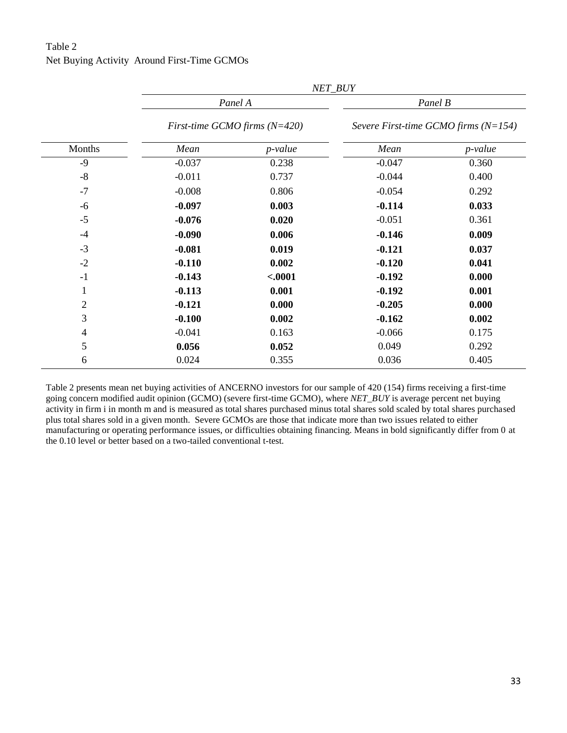# Table 2 Net Buying Activity Around First-Time GCMOs

|                |                                 | NET_BUY    |                                        |            |  |
|----------------|---------------------------------|------------|----------------------------------------|------------|--|
|                |                                 | Panel A    | Panel B                                |            |  |
|                | First-time GCMO firms $(N=420)$ |            | Severe First-time GCMO firms $(N=154)$ |            |  |
| Months         | Mean                            | $p$ -value | Mean                                   | $p$ -value |  |
| $-9$           | $-0.037$                        | 0.238      | $-0.047$                               | 0.360      |  |
| $-8$           | $-0.011$                        | 0.737      | $-0.044$                               | 0.400      |  |
| $-7$           | $-0.008$                        | 0.806      | $-0.054$                               | 0.292      |  |
| $-6$           | $-0.097$                        | 0.003      | $-0.114$                               | 0.033      |  |
| $-5$           | $-0.076$                        | 0.020      | $-0.051$                               | 0.361      |  |
| $-4$           | $-0.090$                        | 0.006      | $-0.146$                               | 0.009      |  |
| $-3$           | $-0.081$                        | 0.019      | $-0.121$                               | 0.037      |  |
| $-2$           | $-0.110$                        | 0.002      | $-0.120$                               | 0.041      |  |
| $-1$           | $-0.143$                        | $-.0001$   | $-0.192$                               | 0.000      |  |
| 1              | $-0.113$                        | 0.001      | $-0.192$                               | 0.001      |  |
| $\overline{2}$ | $-0.121$                        | 0.000      | $-0.205$                               | 0.000      |  |
| 3              | $-0.100$                        | 0.002      | $-0.162$                               | 0.002      |  |
| $\overline{4}$ | $-0.041$                        | 0.163      | $-0.066$                               | 0.175      |  |
| 5              | 0.056                           | 0.052      | 0.049                                  | 0.292      |  |
| 6              | 0.024                           | 0.355      | 0.036                                  | 0.405      |  |

Table 2 presents mean net buying activities of ANCERNO investors for our sample of 420 (154) firms receiving a first-time going concern modified audit opinion (GCMO) (severe first-time GCMO), where *NET\_BUY* is average percent net buying activity in firm i in month m and is measured as total shares purchased minus total shares sold scaled by total shares purchased plus total shares sold in a given month. Severe GCMOs are those that indicate more than two issues related to either manufacturing or operating performance issues, or difficulties obtaining financing. Means in bold significantly differ from 0 at the 0.10 level or better based on a two-tailed conventional t-test.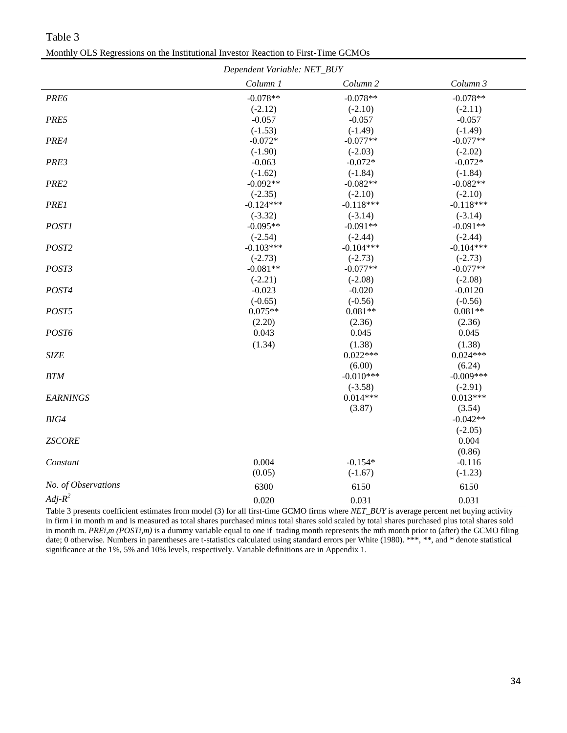| Dependent Variable: NET_BUY |             |                     |             |
|-----------------------------|-------------|---------------------|-------------|
|                             | Column 1    | Column <sub>2</sub> | Column 3    |
| PRE6                        | $-0.078**$  | $-0.078**$          | $-0.078**$  |
|                             | $(-2.12)$   | $(-2.10)$           | $(-2.11)$   |
| PRE5                        | $-0.057$    | $-0.057$            | $-0.057$    |
|                             | $(-1.53)$   | $(-1.49)$           | $(-1.49)$   |
| PRE4                        | $-0.072*$   | $-0.077**$          | $-0.077**$  |
|                             | $(-1.90)$   | $(-2.03)$           | $(-2.02)$   |
| PRE3                        | $-0.063$    | $-0.072*$           | $-0.072*$   |
|                             | $(-1.62)$   | $(-1.84)$           | $(-1.84)$   |
| PRE2                        | $-0.092**$  | $-0.082**$          | $-0.082**$  |
|                             | $(-2.35)$   | $(-2.10)$           | $(-2.10)$   |
| <b>PRE1</b>                 | $-0.124***$ | $-0.118***$         | $-0.118***$ |
|                             | $(-3.32)$   | $(-3.14)$           | $(-3.14)$   |
| <b>POST1</b>                | $-0.095**$  | $-0.091**$          | $-0.091**$  |
|                             | $(-2.54)$   | $(-2.44)$           | $(-2.44)$   |
| POST2                       | $-0.103***$ | $-0.104***$         | $-0.104***$ |
|                             | $(-2.73)$   | $(-2.73)$           | $(-2.73)$   |
| POST3                       | $-0.081**$  | $-0.077**$          | $-0.077**$  |
|                             | $(-2.21)$   | $(-2.08)$           | $(-2.08)$   |
| POST4                       | $-0.023$    | $-0.020$            | $-0.0120$   |
|                             | $(-0.65)$   | $(-0.56)$           | $(-0.56)$   |
| POST5                       | $0.075**$   | $0.081**$           | $0.081**$   |
|                             | (2.20)      | (2.36)              | (2.36)      |
| POST6                       | 0.043       | 0.045               | 0.045       |
|                             | (1.34)      | (1.38)              | (1.38)      |
| <b>SIZE</b>                 |             | $0.022***$          | $0.024***$  |
|                             |             | (6.00)              | (6.24)      |
| <b>BTM</b>                  |             | $-0.010***$         | $-0.009***$ |
|                             |             | $(-3.58)$           | $(-2.91)$   |
| <b>EARNINGS</b>             |             | $0.014***$          | $0.013***$  |
|                             |             | (3.87)              | (3.54)      |
| $BIG4$                      |             |                     | $-0.042**$  |
|                             |             |                     | $(-2.05)$   |
| <b>ZSCORE</b>               |             |                     | 0.004       |
|                             |             |                     | (0.86)      |
| Constant                    | 0.004       | $-0.154*$           | $-0.116$    |
|                             | (0.05)      | $(-1.67)$           | $(-1.23)$   |
| No. of Observations         | 6300        | 6150                | 6150        |
| $Adj-R^2$                   | 0.020       | 0.031               | 0.031       |

Table 3 Monthly OLS Regressions on the Institutional Investor Reaction to First-Time GCMOs

Table 3 presents coefficient estimates from model (3) for all first-time GCMO firms where *NET\_BUY* is average percent net buying activity in firm i in month m and is measured as total shares purchased minus total shares sold scaled by total shares purchased plus total shares sold in month m. *PREi,m* (*POSTi,m*) is a dummy variable equal to one if trading month represents the mth month prior to (after) the GCMO filing date; 0 otherwise. Numbers in parentheses are t-statistics calculated using standard errors per White (1980). \*\*\*, \*\*, and \* denote statistical significance at the 1%, 5% and 10% levels, respectively. Variable definitions are in Appendix 1.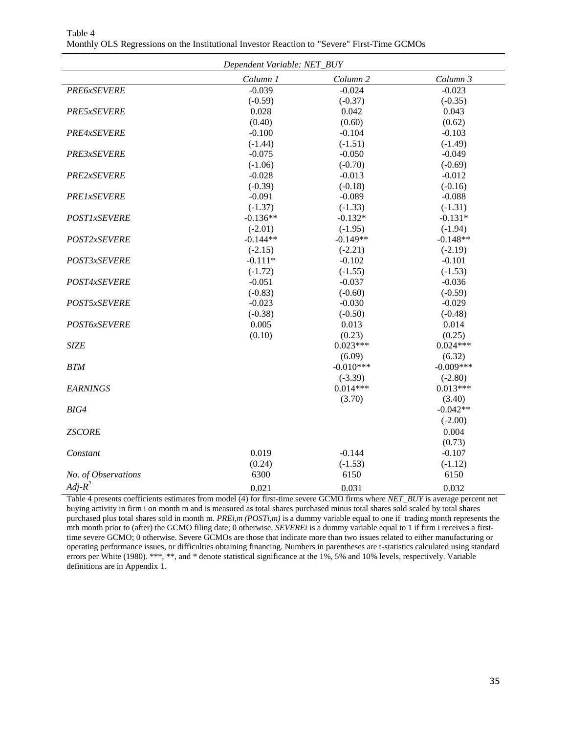| Dependent Variable: NET_BUY |            |             |             |
|-----------------------------|------------|-------------|-------------|
|                             | Column 1   | Column 2    | Column 3    |
| <b>PRE6xSEVERE</b>          | $-0.039$   | $-0.024$    | $-0.023$    |
|                             | $(-0.59)$  | $(-0.37)$   | $(-0.35)$   |
| PRE5xSEVERE                 | 0.028      | 0.042       | 0.043       |
|                             | (0.40)     | (0.60)      | (0.62)      |
| PRE4xSEVERE                 | $-0.100$   | $-0.104$    | $-0.103$    |
|                             | $(-1.44)$  | $(-1.51)$   | $(-1.49)$   |
| PRE3xSEVERE                 | $-0.075$   | $-0.050$    | $-0.049$    |
|                             | $(-1.06)$  | $(-0.70)$   | $(-0.69)$   |
| PRE2xSEVERE                 | $-0.028$   | $-0.013$    | $-0.012$    |
|                             | $(-0.39)$  | $(-0.18)$   | $(-0.16)$   |
| <b>PRE1xSEVERE</b>          | $-0.091$   | $-0.089$    | $-0.088$    |
|                             | $(-1.37)$  | $(-1.33)$   | $(-1.31)$   |
| <b>POST1xSEVERE</b>         | $-0.136**$ | $-0.132*$   | $-0.131*$   |
|                             | $(-2.01)$  | $(-1.95)$   | $(-1.94)$   |
| POST2xSEVERE                | $-0.144**$ | $-0.149**$  | $-0.148**$  |
|                             | $(-2.15)$  | $(-2.21)$   | $(-2.19)$   |
| POST3xSEVERE                | $-0.111*$  | $-0.102$    | $-0.101$    |
|                             | $(-1.72)$  | $(-1.55)$   | $(-1.53)$   |
| POST4xSEVERE                | $-0.051$   | $-0.037$    | $-0.036$    |
|                             | $(-0.83)$  | $(-0.60)$   | $(-0.59)$   |
| POST5xSEVERE                | $-0.023$   | $-0.030$    | $-0.029$    |
|                             | $(-0.38)$  | $(-0.50)$   | $(-0.48)$   |
| POST6xSEVERE                | 0.005      | 0.013       | 0.014       |
|                             | (0.10)     | (0.23)      | (0.25)      |
| <b>SIZE</b>                 |            | $0.023***$  | $0.024***$  |
|                             |            | (6.09)      | (6.32)      |
| <b>BTM</b>                  |            | $-0.010***$ | $-0.009***$ |
|                             |            | $(-3.39)$   | $(-2.80)$   |
| <b>EARNINGS</b>             |            | $0.014***$  | $0.013***$  |
|                             |            | (3.70)      | (3.40)      |
| BIG4                        |            |             | $-0.042**$  |
|                             |            |             | $(-2.00)$   |
| <b>ZSCORE</b>               |            |             | 0.004       |
|                             |            |             | (0.73)      |
| Constant                    | 0.019      | $-0.144$    | $-0.107$    |
|                             | (0.24)     | $(-1.53)$   | $(-1.12)$   |
| No. of Observations         | 6300       | 6150        | 6150        |
| $Adj-R^2$                   | 0.021      | 0.031       | 0.032       |

Table 4 Monthly OLS Regressions on the Institutional Investor Reaction to "Severe" First-Time GCMOs

Table 4 presents coefficients estimates from model (4) for first-time severe GCMO firms where *NET\_BUY* is average percent net buying activity in firm i on month m and is measured as total shares purchased minus total shares sold scaled by total shares purchased plus total shares sold in month m. *PREi,m (POSTi,m)* is a dummy variable equal to one if trading month represents the mth month prior to (after) the GCMO filing date; 0 otherwise, *SEVEREi* is a dummy variable equal to 1 if firm i receives a firsttime severe GCMO; 0 otherwise. Severe GCMOs are those that indicate more than two issues related to either manufacturing or operating performance issues, or difficulties obtaining financing. Numbers in parentheses are t-statistics calculated using standard errors per White (1980). \*\*\*, \*\*, and \* denote statistical significance at the 1%, 5% and 10% levels, respectively. Variable definitions are in Appendix 1.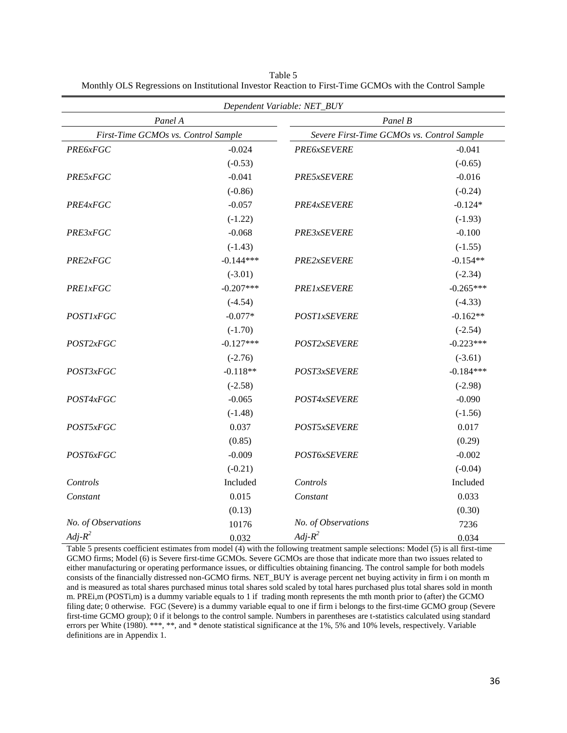| Dependent Variable: NET_BUY                    |             |                                                       |             |  |                 |
|------------------------------------------------|-------------|-------------------------------------------------------|-------------|--|-----------------|
| Panel A<br>First-Time GCMOs vs. Control Sample |             | Panel B<br>Severe First-Time GCMOs vs. Control Sample |             |  |                 |
|                                                |             |                                                       |             |  | <b>PRE6xFGC</b> |
|                                                | $(-0.53)$   |                                                       | $(-0.65)$   |  |                 |
| PRE5xFGC                                       | $-0.041$    | PRE5xSEVERE                                           | $-0.016$    |  |                 |
|                                                | $(-0.86)$   |                                                       | $(-0.24)$   |  |                 |
| PRE4xFGC                                       | $-0.057$    | PRE4xSEVERE                                           | $-0.124*$   |  |                 |
|                                                | $(-1.22)$   |                                                       | $(-1.93)$   |  |                 |
| PRE3xFGC                                       | $-0.068$    | PRE3xSEVERE                                           | $-0.100$    |  |                 |
|                                                | $(-1.43)$   |                                                       | $(-1.55)$   |  |                 |
| PRE2xFGC                                       | $-0.144***$ | PRE2xSEVERE                                           | $-0.154**$  |  |                 |
|                                                | $(-3.01)$   |                                                       | $(-2.34)$   |  |                 |
| <b>PRE1xFGC</b>                                | $-0.207***$ | <b>PRE1xSEVERE</b>                                    | $-0.265***$ |  |                 |
|                                                | $(-4.54)$   |                                                       | $(-4.33)$   |  |                 |
| <b>POST1xFGC</b>                               | $-0.077*$   | <b>POST1xSEVERE</b>                                   | $-0.162**$  |  |                 |
|                                                | $(-1.70)$   |                                                       | $(-2.54)$   |  |                 |
| POST2xFGC                                      | $-0.127***$ | POST2xSEVERE                                          | $-0.223***$ |  |                 |
|                                                | $(-2.76)$   |                                                       | $(-3.61)$   |  |                 |
| POST3xFGC                                      | $-0.118**$  | POST3xSEVERE                                          | $-0.184***$ |  |                 |
|                                                | $(-2.58)$   |                                                       | $(-2.98)$   |  |                 |
| POST4xFGC                                      | $-0.065$    | POST4xSEVERE                                          | $-0.090$    |  |                 |
|                                                | $(-1.48)$   |                                                       | $(-1.56)$   |  |                 |
| POST5xFGC                                      | 0.037       | POST5xSEVERE                                          | 0.017       |  |                 |
|                                                | (0.85)      |                                                       | (0.29)      |  |                 |
| POST6xFGC                                      | $-0.009$    | POST6xSEVERE                                          | $-0.002$    |  |                 |
|                                                | $(-0.21)$   |                                                       | $(-0.04)$   |  |                 |
| Controls                                       | Included    | Controls                                              | Included    |  |                 |
| Constant                                       | 0.015       | Constant                                              | 0.033       |  |                 |
|                                                | (0.13)      |                                                       | (0.30)      |  |                 |
| No. of Observations                            | 10176       | No. of Observations                                   | 7236        |  |                 |
| $Adj-R^2$                                      | 0.032       | $Adj-R^2$                                             | 0.034       |  |                 |

Table 5 Monthly OLS Regressions on Institutional Investor Reaction to First-Time GCMOs with the Control Sample

Table 5 presents coefficient estimates from model (4) with the following treatment sample selections: Model (5) is all first-time GCMO firms; Model (6) is Severe first-time GCMOs. Severe GCMOs are those that indicate more than two issues related to either manufacturing or operating performance issues, or difficulties obtaining financing. The control sample for both models consists of the financially distressed non-GCMO firms. NET\_BUY is average percent net buying activity in firm i on month m and is measured as total shares purchased minus total shares sold scaled by total hares purchased plus total shares sold in month m. PREi,m (POSTi,m) is a dummy variable equals to 1 if trading month represents the mth month prior to (after) the GCMO filing date; 0 otherwise. FGC (Severe) is a dummy variable equal to one if firm i belongs to the first-time GCMO group (Severe first-time GCMO group); 0 if it belongs to the control sample. Numbers in parentheses are t-statistics calculated using standard errors per White (1980). \*\*\*, \*\*, and \* denote statistical significance at the 1%, 5% and 10% levels, respectively. Variable definitions are in Appendix 1.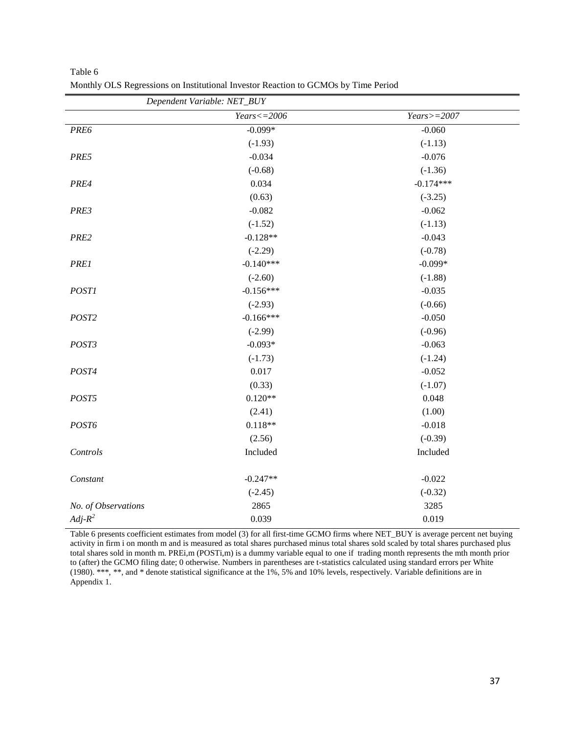| Dependent Variable: NET_BUY |                  |               |  |  |
|-----------------------------|------------------|---------------|--|--|
|                             | $Years < = 2006$ | $Years>=2007$ |  |  |
| PRE6                        | $-0.099*$        | $-0.060$      |  |  |
|                             | $(-1.93)$        | $(-1.13)$     |  |  |
| PRE5                        | $-0.034$         | $-0.076$      |  |  |
|                             | $(-0.68)$        | $(-1.36)$     |  |  |
| PRE4                        | 0.034            | $-0.174***$   |  |  |
|                             | (0.63)           | $(-3.25)$     |  |  |
| PRE3                        | $-0.082$         | $-0.062$      |  |  |
|                             | $(-1.52)$        | $(-1.13)$     |  |  |
| PRE2                        | $-0.128**$       | $-0.043$      |  |  |
|                             | $(-2.29)$        | $(-0.78)$     |  |  |
| <b>PRE1</b>                 | $-0.140***$      | $-0.099*$     |  |  |
|                             | $(-2.60)$        | $(-1.88)$     |  |  |
| <b>POST1</b>                | $-0.156***$      | $-0.035$      |  |  |
|                             | $(-2.93)$        | $(-0.66)$     |  |  |
| POST2                       | $-0.166***$      | $-0.050$      |  |  |
|                             | $(-2.99)$        | $(-0.96)$     |  |  |
| POST3                       | $-0.093*$        | $-0.063$      |  |  |
|                             | $(-1.73)$        | $(-1.24)$     |  |  |
| POST4                       | 0.017            | $-0.052$      |  |  |
|                             | (0.33)           | $(-1.07)$     |  |  |
| POST5                       | $0.120**$        | 0.048         |  |  |
|                             | (2.41)           | (1.00)        |  |  |
| POST6                       | $0.118**$        | $-0.018$      |  |  |
|                             | (2.56)           | $(-0.39)$     |  |  |
| Controls                    | Included         | Included      |  |  |
| Constant                    | $-0.247**$       | $-0.022$      |  |  |
|                             | $(-2.45)$        | $(-0.32)$     |  |  |
| No. of Observations         | 2865             | 3285          |  |  |
| $Adj-R^2$                   | 0.039            | 0.019         |  |  |

Table 6 Monthly OLS Regressions on Institutional Investor Reaction to GCMOs by Time Period

Table 6 presents coefficient estimates from model (3) for all first-time GCMO firms where NET\_BUY is average percent net buying activity in firm i on month m and is measured as total shares purchased minus total shares sold scaled by total shares purchased plus total shares sold in month m. PREi,m (POSTi,m) is a dummy variable equal to one if trading month represents the mth month prior to (after) the GCMO filing date; 0 otherwise. Numbers in parentheses are t-statistics calculated using standard errors per White (1980). \*\*\*, \*\*, and \* denote statistical significance at the 1%, 5% and 10% levels, respectively. Variable definitions are in Appendix 1.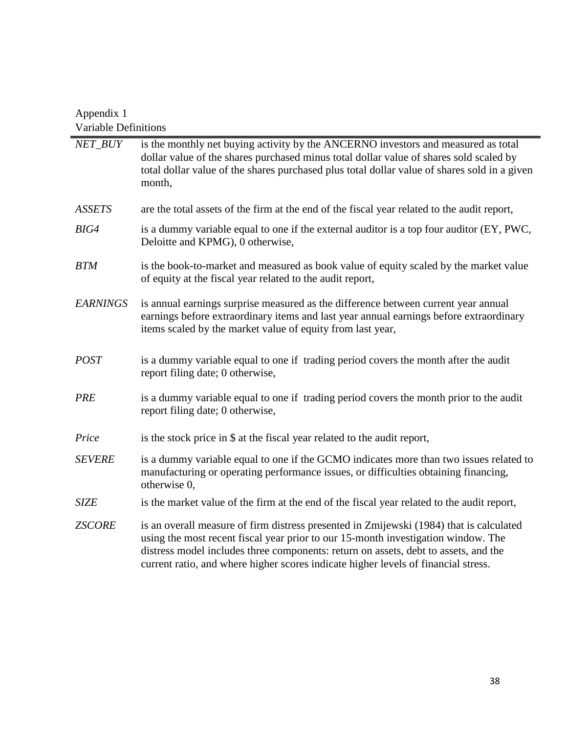# Appendix 1 Variable Definitions

| NET_BUY         | is the monthly net buying activity by the ANCERNO investors and measured as total<br>dollar value of the shares purchased minus total dollar value of shares sold scaled by<br>total dollar value of the shares purchased plus total dollar value of shares sold in a given<br>month,                                                                     |
|-----------------|-----------------------------------------------------------------------------------------------------------------------------------------------------------------------------------------------------------------------------------------------------------------------------------------------------------------------------------------------------------|
| <b>ASSETS</b>   | are the total assets of the firm at the end of the fiscal year related to the audit report,                                                                                                                                                                                                                                                               |
| BIG4            | is a dummy variable equal to one if the external auditor is a top four auditor (EY, PWC,<br>Deloitte and KPMG), 0 otherwise,                                                                                                                                                                                                                              |
| <b>BTM</b>      | is the book-to-market and measured as book value of equity scaled by the market value<br>of equity at the fiscal year related to the audit report,                                                                                                                                                                                                        |
| <b>EARNINGS</b> | is annual earnings surprise measured as the difference between current year annual<br>earnings before extraordinary items and last year annual earnings before extraordinary<br>items scaled by the market value of equity from last year,                                                                                                                |
| <b>POST</b>     | is a dummy variable equal to one if trading period covers the month after the audit<br>report filing date; 0 otherwise,                                                                                                                                                                                                                                   |
| <b>PRE</b>      | is a dummy variable equal to one if trading period covers the month prior to the audit<br>report filing date; 0 otherwise,                                                                                                                                                                                                                                |
| Price           | is the stock price in \$ at the fiscal year related to the audit report,                                                                                                                                                                                                                                                                                  |
| <b>SEVERE</b>   | is a dummy variable equal to one if the GCMO indicates more than two issues related to<br>manufacturing or operating performance issues, or difficulties obtaining financing,<br>otherwise 0,                                                                                                                                                             |
| <b>SIZE</b>     | is the market value of the firm at the end of the fiscal year related to the audit report,                                                                                                                                                                                                                                                                |
| <b>ZSCORE</b>   | is an overall measure of firm distress presented in Zmijewski (1984) that is calculated<br>using the most recent fiscal year prior to our 15-month investigation window. The<br>distress model includes three components: return on assets, debt to assets, and the<br>current ratio, and where higher scores indicate higher levels of financial stress. |